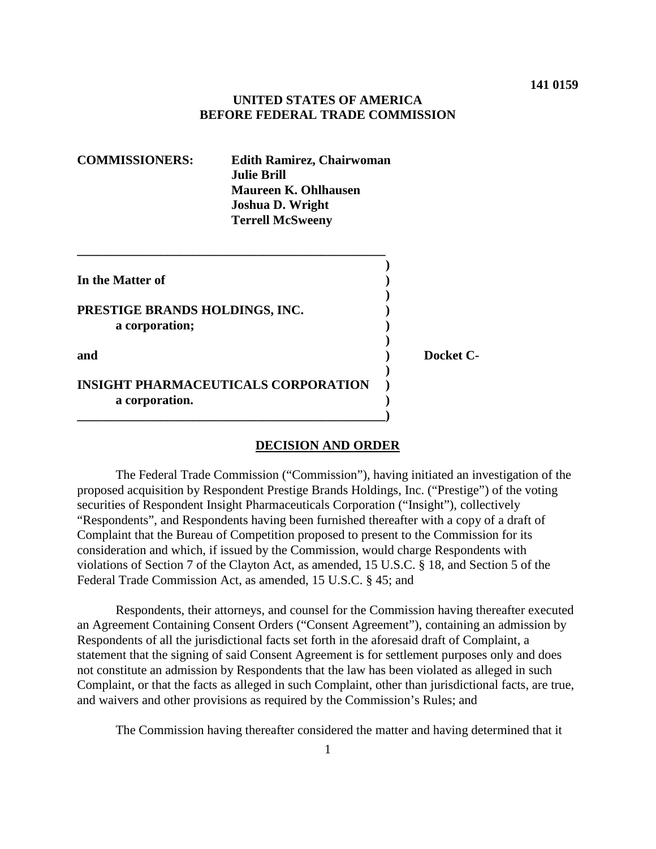# **UNITED STATES OF AMERICA BEFORE FEDERAL TRADE COMMISSION**

| <b>COMMISSIONERS:</b>                            | <b>Edith Ramirez, Chairwoman</b><br><b>Julie Brill</b><br><b>Maureen K. Ohlhausen</b><br><b>Joshua D. Wright</b><br><b>Terrell McSweeny</b> |           |
|--------------------------------------------------|---------------------------------------------------------------------------------------------------------------------------------------------|-----------|
| In the Matter of                                 |                                                                                                                                             |           |
| PRESTIGE BRANDS HOLDINGS, INC.<br>a corporation; |                                                                                                                                             |           |
| and                                              |                                                                                                                                             | Docket C- |
| a corporation.                                   | <b>INSIGHT PHARMACEUTICALS CORPORATION</b>                                                                                                  |           |

#### **DECISION AND ORDER**

The Federal Trade Commission ("Commission"), having initiated an investigation of the proposed acquisition by Respondent Prestige Brands Holdings, Inc. ("Prestige") of the voting securities of Respondent Insight Pharmaceuticals Corporation ("Insight"), collectively "Respondents", and Respondents having been furnished thereafter with a copy of a draft of Complaint that the Bureau of Competition proposed to present to the Commission for its consideration and which, if issued by the Commission, would charge Respondents with violations of Section 7 of the Clayton Act, as amended, 15 U.S.C. § 18, and Section 5 of the Federal Trade Commission Act, as amended, 15 U.S.C. § 45; and

Respondents, their attorneys, and counsel for the Commission having thereafter executed an Agreement Containing Consent Orders ("Consent Agreement"), containing an admission by Respondents of all the jurisdictional facts set forth in the aforesaid draft of Complaint, a statement that the signing of said Consent Agreement is for settlement purposes only and does not constitute an admission by Respondents that the law has been violated as alleged in such Complaint, or that the facts as alleged in such Complaint, other than jurisdictional facts, are true, and waivers and other provisions as required by the Commission's Rules; and

The Commission having thereafter considered the matter and having determined that it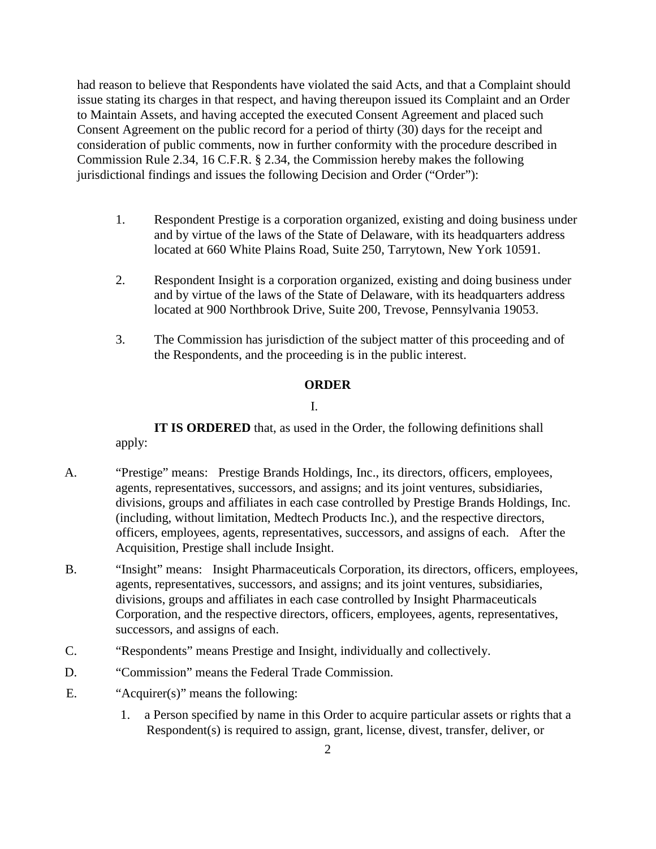had reason to believe that Respondents have violated the said Acts, and that a Complaint should issue stating its charges in that respect, and having thereupon issued its Complaint and an Order to Maintain Assets, and having accepted the executed Consent Agreement and placed such Consent Agreement on the public record for a period of thirty (30) days for the receipt and consideration of public comments, now in further conformity with the procedure described in Commission Rule 2.34, 16 C.F.R. § 2.34, the Commission hereby makes the following jurisdictional findings and issues the following Decision and Order ("Order"):

- 1. Respondent Prestige is a corporation organized, existing and doing business under and by virtue of the laws of the State of Delaware, with its headquarters address located at 660 White Plains Road, Suite 250, Tarrytown, New York 10591.
- 2. Respondent Insight is a corporation organized, existing and doing business under and by virtue of the laws of the State of Delaware, with its headquarters address located at 900 Northbrook Drive, Suite 200, Trevose, Pennsylvania 19053.
- 3. The Commission has jurisdiction of the subject matter of this proceeding and of the Respondents, and the proceeding is in the public interest.

## **ORDER**

I.

**IT IS ORDERED** that, as used in the Order, the following definitions shall apply:

- A. "Prestige" means: Prestige Brands Holdings, Inc., its directors, officers, employees, agents, representatives, successors, and assigns; and its joint ventures, subsidiaries, divisions, groups and affiliates in each case controlled by Prestige Brands Holdings, Inc. (including, without limitation, Medtech Products Inc.), and the respective directors, officers, employees, agents, representatives, successors, and assigns of each. After the Acquisition, Prestige shall include Insight.
- B. "Insight" means: Insight Pharmaceuticals Corporation, its directors, officers, employees, agents, representatives, successors, and assigns; and its joint ventures, subsidiaries, divisions, groups and affiliates in each case controlled by Insight Pharmaceuticals Corporation, and the respective directors, officers, employees, agents, representatives, successors, and assigns of each.
- C. "Respondents" means Prestige and Insight, individually and collectively.
- D. "Commission" means the Federal Trade Commission.
- E. "Acquirer(s)" means the following:
	- 1. a Person specified by name in this Order to acquire particular assets or rights that a Respondent(s) is required to assign, grant, license, divest, transfer, deliver, or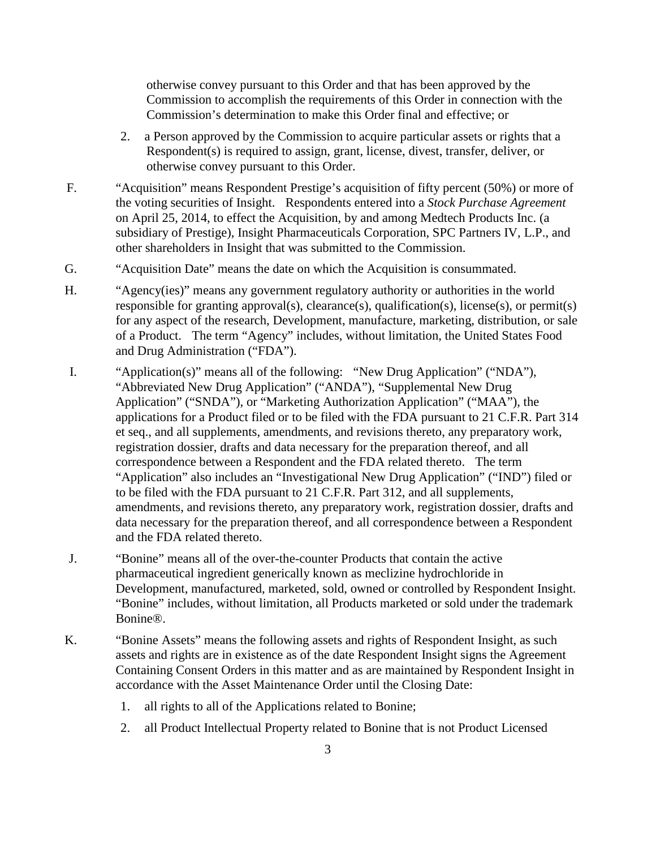otherwise convey pursuant to this Order and that has been approved by the Commission to accomplish the requirements of this Order in connection with the Commission's determination to make this Order final and effective; or

- 2. a Person approved by the Commission to acquire particular assets or rights that a Respondent(s) is required to assign, grant, license, divest, transfer, deliver, or otherwise convey pursuant to this Order.
- F. "Acquisition" means Respondent Prestige's acquisition of fifty percent (50%) or more of the voting securities of Insight. Respondents entered into a *Stock Purchase Agreement* on April 25, 2014, to effect the Acquisition, by and among Medtech Products Inc. (a subsidiary of Prestige), Insight Pharmaceuticals Corporation, SPC Partners IV, L.P., and other shareholders in Insight that was submitted to the Commission.
- G. "Acquisition Date" means the date on which the Acquisition is consummated.
- H. "Agency(ies)" means any government regulatory authority or authorities in the world responsible for granting approval(s), clearance(s), qualification(s), license(s), or permit(s) for any aspect of the research, Development, manufacture, marketing, distribution, or sale of a Product. The term "Agency" includes, without limitation, the United States Food and Drug Administration ("FDA").
- I. "Application(s)" means all of the following: "New Drug Application" ("NDA"), "Abbreviated New Drug Application" ("ANDA"), "Supplemental New Drug Application" ("SNDA"), or "Marketing Authorization Application" ("MAA"), the applications for a Product filed or to be filed with the FDA pursuant to 21 C.F.R. Part 314 et seq., and all supplements, amendments, and revisions thereto, any preparatory work, registration dossier, drafts and data necessary for the preparation thereof, and all correspondence between a Respondent and the FDA related thereto. The term "Application" also includes an "Investigational New Drug Application" ("IND") filed or to be filed with the FDA pursuant to 21 C.F.R. Part 312, and all supplements, amendments, and revisions thereto, any preparatory work, registration dossier, drafts and data necessary for the preparation thereof, and all correspondence between a Respondent and the FDA related thereto.
- J. "Bonine" means all of the over-the-counter Products that contain the active pharmaceutical ingredient generically known as meclizine hydrochloride in Development, manufactured, marketed, sold, owned or controlled by Respondent Insight. "Bonine" includes, without limitation, all Products marketed or sold under the trademark Bonine®.
- K. "Bonine Assets" means the following assets and rights of Respondent Insight, as such assets and rights are in existence as of the date Respondent Insight signs the Agreement Containing Consent Orders in this matter and as are maintained by Respondent Insight in accordance with the Asset Maintenance Order until the Closing Date:
	- 1. all rights to all of the Applications related to Bonine;
	- 2. all Product Intellectual Property related to Bonine that is not Product Licensed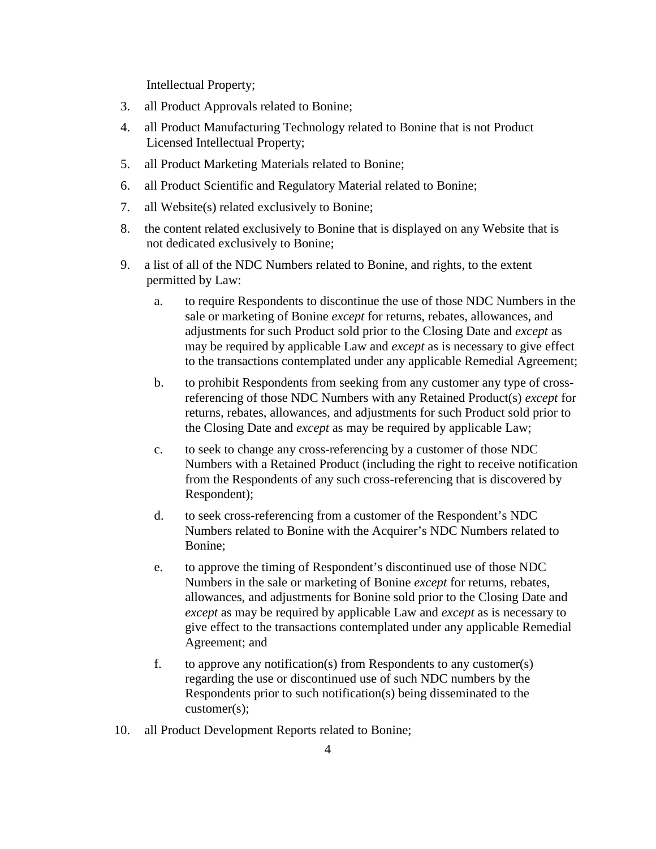Intellectual Property;

- 3. all Product Approvals related to Bonine;
- 4. all Product Manufacturing Technology related to Bonine that is not Product Licensed Intellectual Property;
- 5. all Product Marketing Materials related to Bonine;
- 6. all Product Scientific and Regulatory Material related to Bonine;
- 7. all Website(s) related exclusively to Bonine;
- 8. the content related exclusively to Bonine that is displayed on any Website that is not dedicated exclusively to Bonine;
- 9. a list of all of the NDC Numbers related to Bonine, and rights, to the extent permitted by Law:
	- a. to require Respondents to discontinue the use of those NDC Numbers in the sale or marketing of Bonine *except* for returns, rebates, allowances, and adjustments for such Product sold prior to the Closing Date and *except* as may be required by applicable Law and *except* as is necessary to give effect to the transactions contemplated under any applicable Remedial Agreement;
	- b. to prohibit Respondents from seeking from any customer any type of crossreferencing of those NDC Numbers with any Retained Product(s) *except* for returns, rebates, allowances, and adjustments for such Product sold prior to the Closing Date and *except* as may be required by applicable Law;
	- c. to seek to change any cross-referencing by a customer of those NDC Numbers with a Retained Product (including the right to receive notification from the Respondents of any such cross-referencing that is discovered by Respondent);
	- d. to seek cross-referencing from a customer of the Respondent's NDC Numbers related to Bonine with the Acquirer's NDC Numbers related to Bonine;
	- e. to approve the timing of Respondent's discontinued use of those NDC Numbers in the sale or marketing of Bonine *except* for returns, rebates, allowances, and adjustments for Bonine sold prior to the Closing Date and *except* as may be required by applicable Law and *except* as is necessary to give effect to the transactions contemplated under any applicable Remedial Agreement; and
	- f. to approve any notification(s) from Respondents to any customer(s) regarding the use or discontinued use of such NDC numbers by the Respondents prior to such notification(s) being disseminated to the customer(s);
- 10. all Product Development Reports related to Bonine;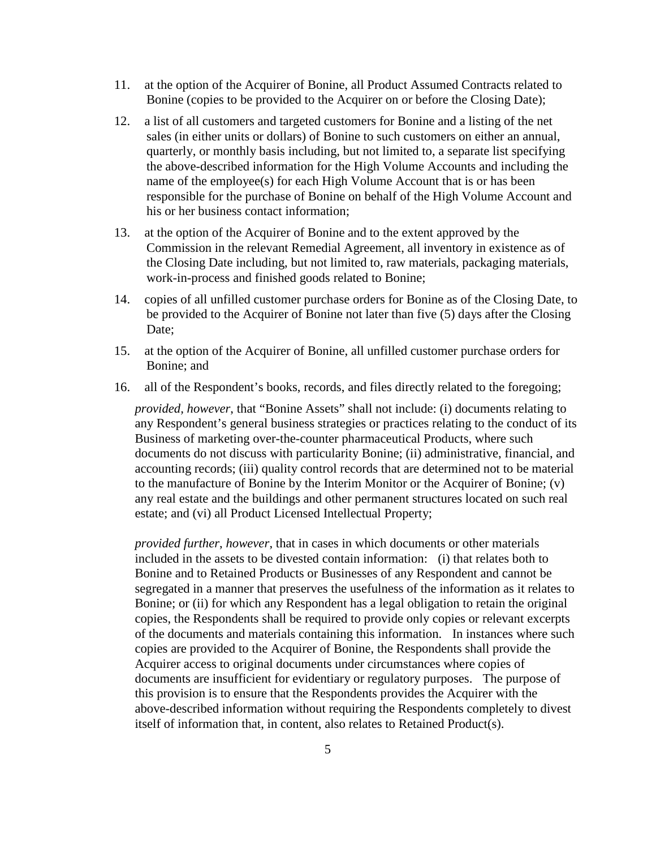- 11. at the option of the Acquirer of Bonine, all Product Assumed Contracts related to Bonine (copies to be provided to the Acquirer on or before the Closing Date);
- 12. a list of all customers and targeted customers for Bonine and a listing of the net sales (in either units or dollars) of Bonine to such customers on either an annual, quarterly, or monthly basis including, but not limited to, a separate list specifying the above-described information for the High Volume Accounts and including the name of the employee(s) for each High Volume Account that is or has been responsible for the purchase of Bonine on behalf of the High Volume Account and his or her business contact information;
- 13. at the option of the Acquirer of Bonine and to the extent approved by the Commission in the relevant Remedial Agreement, all inventory in existence as of the Closing Date including, but not limited to, raw materials, packaging materials, work-in-process and finished goods related to Bonine;
- 14. copies of all unfilled customer purchase orders for Bonine as of the Closing Date, to be provided to the Acquirer of Bonine not later than five (5) days after the Closing Date;
- 15. at the option of the Acquirer of Bonine, all unfilled customer purchase orders for Bonine; and
- 16. all of the Respondent's books, records, and files directly related to the foregoing;

*provided, however*, that "Bonine Assets" shall not include: (i) documents relating to any Respondent's general business strategies or practices relating to the conduct of its Business of marketing over-the-counter pharmaceutical Products, where such documents do not discuss with particularity Bonine; (ii) administrative, financial, and accounting records; (iii) quality control records that are determined not to be material to the manufacture of Bonine by the Interim Monitor or the Acquirer of Bonine; (v) any real estate and the buildings and other permanent structures located on such real estate; and (vi) all Product Licensed Intellectual Property;

*provided further*, *however*, that in cases in which documents or other materials included in the assets to be divested contain information: (i) that relates both to Bonine and to Retained Products or Businesses of any Respondent and cannot be segregated in a manner that preserves the usefulness of the information as it relates to Bonine; or (ii) for which any Respondent has a legal obligation to retain the original copies, the Respondents shall be required to provide only copies or relevant excerpts of the documents and materials containing this information. In instances where such copies are provided to the Acquirer of Bonine, the Respondents shall provide the Acquirer access to original documents under circumstances where copies of documents are insufficient for evidentiary or regulatory purposes. The purpose of this provision is to ensure that the Respondents provides the Acquirer with the above-described information without requiring the Respondents completely to divest itself of information that, in content, also relates to Retained Product(s).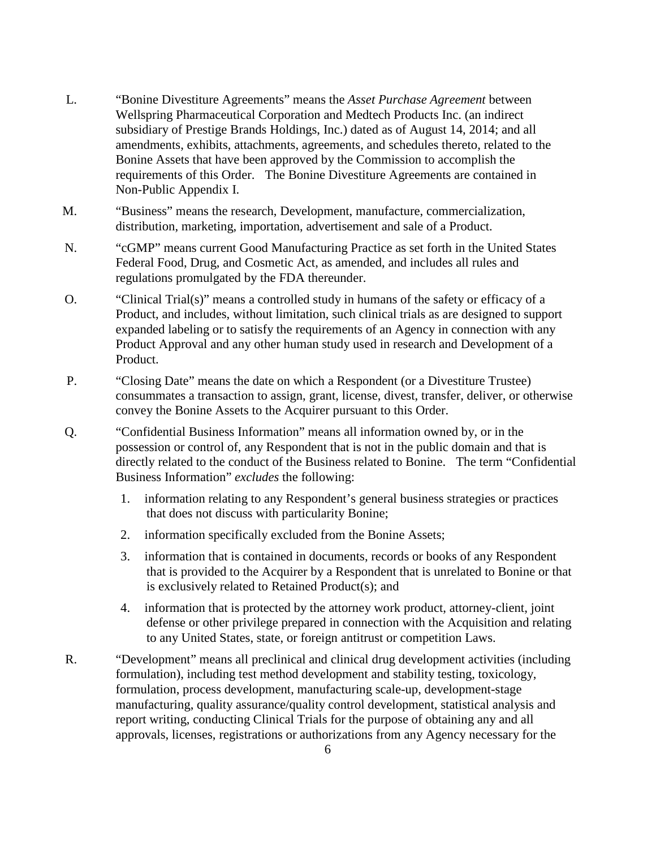- L. "Bonine Divestiture Agreements" means the *Asset Purchase Agreement* between Wellspring Pharmaceutical Corporation and Medtech Products Inc. (an indirect subsidiary of Prestige Brands Holdings, Inc.) dated as of August 14, 2014; and all amendments, exhibits, attachments, agreements, and schedules thereto, related to the Bonine Assets that have been approved by the Commission to accomplish the requirements of this Order. The Bonine Divestiture Agreements are contained in Non-Public Appendix I.
- M. "Business" means the research, Development, manufacture, commercialization, distribution, marketing, importation, advertisement and sale of a Product.
- N. "cGMP" means current Good Manufacturing Practice as set forth in the United States Federal Food, Drug, and Cosmetic Act, as amended, and includes all rules and regulations promulgated by the FDA thereunder.
- O. "Clinical Trial(s)" means a controlled study in humans of the safety or efficacy of a Product, and includes, without limitation, such clinical trials as are designed to support expanded labeling or to satisfy the requirements of an Agency in connection with any Product Approval and any other human study used in research and Development of a Product.
- P. "Closing Date" means the date on which a Respondent (or a Divestiture Trustee) consummates a transaction to assign, grant, license, divest, transfer, deliver, or otherwise convey the Bonine Assets to the Acquirer pursuant to this Order.
- Q. "Confidential Business Information" means all information owned by, or in the possession or control of, any Respondent that is not in the public domain and that is directly related to the conduct of the Business related to Bonine. The term "Confidential Business Information" *excludes* the following:
	- 1. information relating to any Respondent's general business strategies or practices that does not discuss with particularity Bonine;
	- 2. information specifically excluded from the Bonine Assets;
	- 3. information that is contained in documents, records or books of any Respondent that is provided to the Acquirer by a Respondent that is unrelated to Bonine or that is exclusively related to Retained Product(s); and
	- 4. information that is protected by the attorney work product, attorney-client, joint defense or other privilege prepared in connection with the Acquisition and relating to any United States, state, or foreign antitrust or competition Laws.
- R. "Development" means all preclinical and clinical drug development activities (including formulation), including test method development and stability testing, toxicology, formulation, process development, manufacturing scale-up, development-stage manufacturing, quality assurance/quality control development, statistical analysis and report writing, conducting Clinical Trials for the purpose of obtaining any and all approvals, licenses, registrations or authorizations from any Agency necessary for the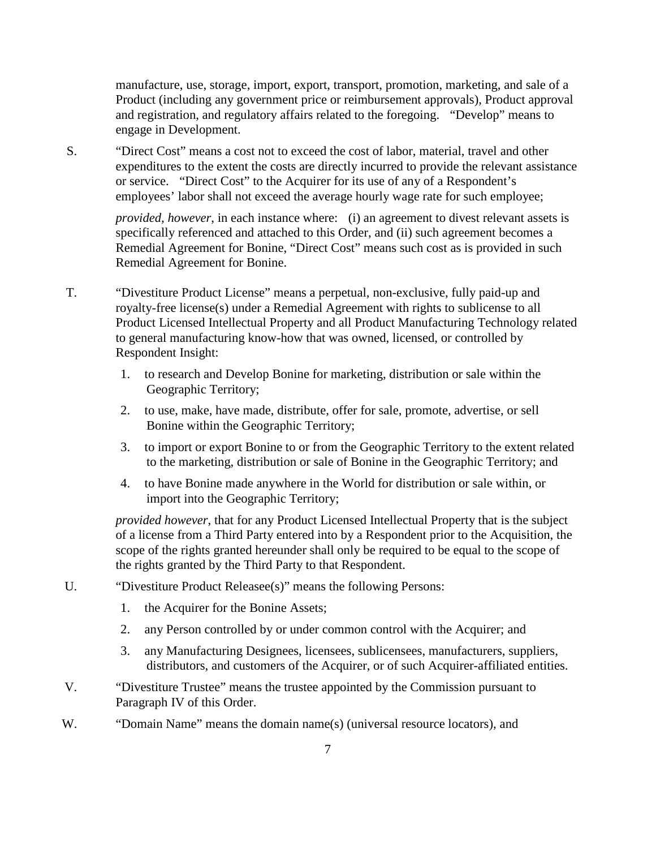manufacture, use, storage, import, export, transport, promotion, marketing, and sale of a Product (including any government price or reimbursement approvals), Product approval and registration, and regulatory affairs related to the foregoing. "Develop" means to engage in Development.

S. "Direct Cost" means a cost not to exceed the cost of labor, material, travel and other expenditures to the extent the costs are directly incurred to provide the relevant assistance or service. "Direct Cost" to the Acquirer for its use of any of a Respondent's employees' labor shall not exceed the average hourly wage rate for such employee;

*provided, however*, in each instance where: (i) an agreement to divest relevant assets is specifically referenced and attached to this Order, and (ii) such agreement becomes a Remedial Agreement for Bonine, "Direct Cost" means such cost as is provided in such Remedial Agreement for Bonine.

- T. "Divestiture Product License" means a perpetual, non-exclusive, fully paid-up and royalty-free license(s) under a Remedial Agreement with rights to sublicense to all Product Licensed Intellectual Property and all Product Manufacturing Technology related to general manufacturing know-how that was owned, licensed, or controlled by Respondent Insight:
	- 1. to research and Develop Bonine for marketing, distribution or sale within the Geographic Territory;
	- 2. to use, make, have made, distribute, offer for sale, promote, advertise, or sell Bonine within the Geographic Territory;
	- 3. to import or export Bonine to or from the Geographic Territory to the extent related to the marketing, distribution or sale of Bonine in the Geographic Territory; and
	- 4. to have Bonine made anywhere in the World for distribution or sale within, or import into the Geographic Territory;

*provided however*, that for any Product Licensed Intellectual Property that is the subject of a license from a Third Party entered into by a Respondent prior to the Acquisition, the scope of the rights granted hereunder shall only be required to be equal to the scope of the rights granted by the Third Party to that Respondent.

- U. "Divestiture Product Releasee(s)" means the following Persons:
	- 1. the Acquirer for the Bonine Assets;
	- 2. any Person controlled by or under common control with the Acquirer; and
	- 3. any Manufacturing Designees, licensees, sublicensees, manufacturers, suppliers, distributors, and customers of the Acquirer, or of such Acquirer-affiliated entities.
- V. "Divestiture Trustee" means the trustee appointed by the Commission pursuant to Paragraph IV of this Order.
- W. "Domain Name" means the domain name(s) (universal resource locators), and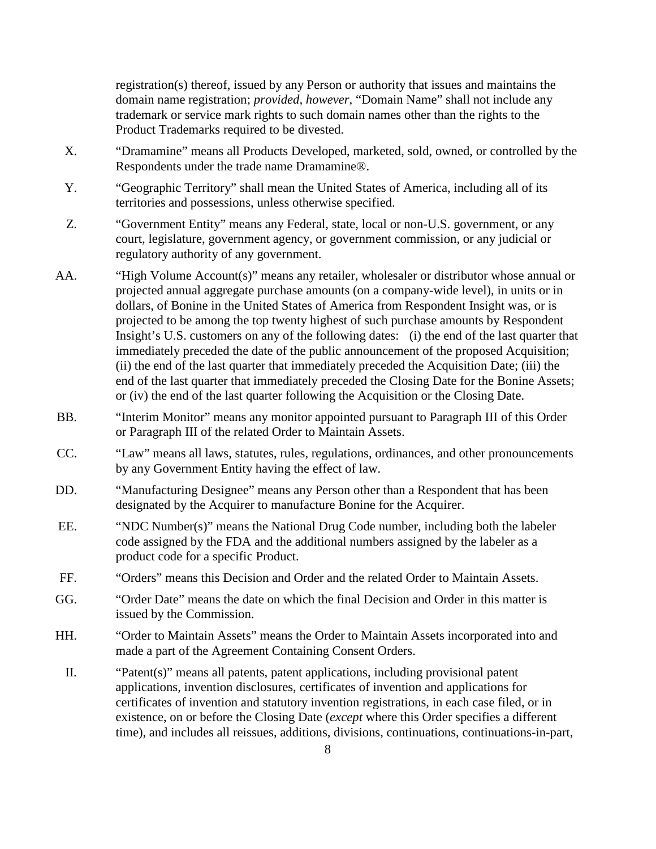registration(s) thereof, issued by any Person or authority that issues and maintains the domain name registration; *provided, however*, "Domain Name" shall not include any trademark or service mark rights to such domain names other than the rights to the Product Trademarks required to be divested.

- X. "Dramamine" means all Products Developed, marketed, sold, owned, or controlled by the Respondents under the trade name Dramamine®.
- Y. "Geographic Territory" shall mean the United States of America, including all of its territories and possessions, unless otherwise specified.
- Z. "Government Entity" means any Federal, state, local or non-U.S. government, or any court, legislature, government agency, or government commission, or any judicial or regulatory authority of any government.
- AA. "High Volume Account(s)" means any retailer, wholesaler or distributor whose annual or projected annual aggregate purchase amounts (on a company-wide level), in units or in dollars, of Bonine in the United States of America from Respondent Insight was, or is projected to be among the top twenty highest of such purchase amounts by Respondent Insight's U.S. customers on any of the following dates: (i) the end of the last quarter that immediately preceded the date of the public announcement of the proposed Acquisition; (ii) the end of the last quarter that immediately preceded the Acquisition Date; (iii) the end of the last quarter that immediately preceded the Closing Date for the Bonine Assets; or (iv) the end of the last quarter following the Acquisition or the Closing Date.
- BB. "Interim Monitor" means any monitor appointed pursuant to Paragraph III of this Order or Paragraph III of the related Order to Maintain Assets.
- CC. "Law" means all laws, statutes, rules, regulations, ordinances, and other pronouncements by any Government Entity having the effect of law.
- DD. "Manufacturing Designee" means any Person other than a Respondent that has been designated by the Acquirer to manufacture Bonine for the Acquirer.
- EE. "NDC Number(s)" means the National Drug Code number, including both the labeler code assigned by the FDA and the additional numbers assigned by the labeler as a product code for a specific Product.
- FF. "Orders" means this Decision and Order and the related Order to Maintain Assets.
- GG. "Order Date" means the date on which the final Decision and Order in this matter is issued by the Commission.
- HH. "Order to Maintain Assets" means the Order to Maintain Assets incorporated into and made a part of the Agreement Containing Consent Orders.
	- II. "Patent(s)" means all patents, patent applications, including provisional patent applications, invention disclosures, certificates of invention and applications for certificates of invention and statutory invention registrations, in each case filed, or in existence, on or before the Closing Date (*except* where this Order specifies a different time), and includes all reissues, additions, divisions, continuations, continuations-in-part,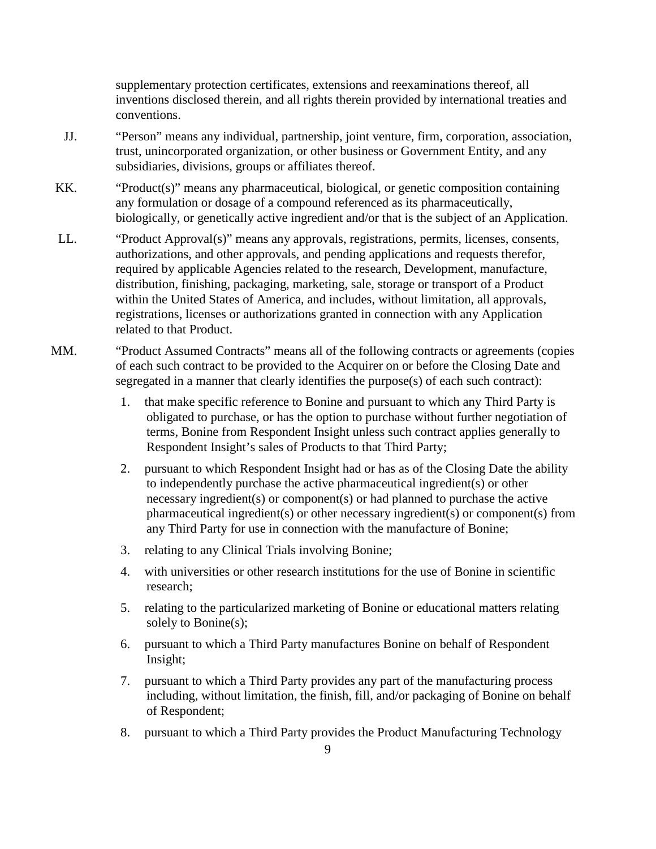supplementary protection certificates, extensions and reexaminations thereof, all inventions disclosed therein, and all rights therein provided by international treaties and conventions.

- JJ. "Person" means any individual, partnership, joint venture, firm, corporation, association, trust, unincorporated organization, or other business or Government Entity, and any subsidiaries, divisions, groups or affiliates thereof.
- KK. "Product(s)" means any pharmaceutical, biological, or genetic composition containing any formulation or dosage of a compound referenced as its pharmaceutically, biologically, or genetically active ingredient and/or that is the subject of an Application.
- LL. "Product Approval(s)" means any approvals, registrations, permits, licenses, consents, authorizations, and other approvals, and pending applications and requests therefor, required by applicable Agencies related to the research, Development, manufacture, distribution, finishing, packaging, marketing, sale, storage or transport of a Product within the United States of America, and includes, without limitation, all approvals, registrations, licenses or authorizations granted in connection with any Application related to that Product.
- MM. "Product Assumed Contracts" means all of the following contracts or agreements (copies of each such contract to be provided to the Acquirer on or before the Closing Date and segregated in a manner that clearly identifies the purpose(s) of each such contract):
	- 1. that make specific reference to Bonine and pursuant to which any Third Party is obligated to purchase, or has the option to purchase without further negotiation of terms, Bonine from Respondent Insight unless such contract applies generally to Respondent Insight's sales of Products to that Third Party;
	- 2. pursuant to which Respondent Insight had or has as of the Closing Date the ability to independently purchase the active pharmaceutical ingredient(s) or other necessary ingredient(s) or component(s) or had planned to purchase the active pharmaceutical ingredient(s) or other necessary ingredient(s) or component(s) from any Third Party for use in connection with the manufacture of Bonine;
	- 3. relating to any Clinical Trials involving Bonine;
	- 4. with universities or other research institutions for the use of Bonine in scientific research;
	- 5. relating to the particularized marketing of Bonine or educational matters relating solely to Bonine(s);
	- 6. pursuant to which a Third Party manufactures Bonine on behalf of Respondent Insight;
	- 7. pursuant to which a Third Party provides any part of the manufacturing process including, without limitation, the finish, fill, and/or packaging of Bonine on behalf of Respondent;
	- 8. pursuant to which a Third Party provides the Product Manufacturing Technology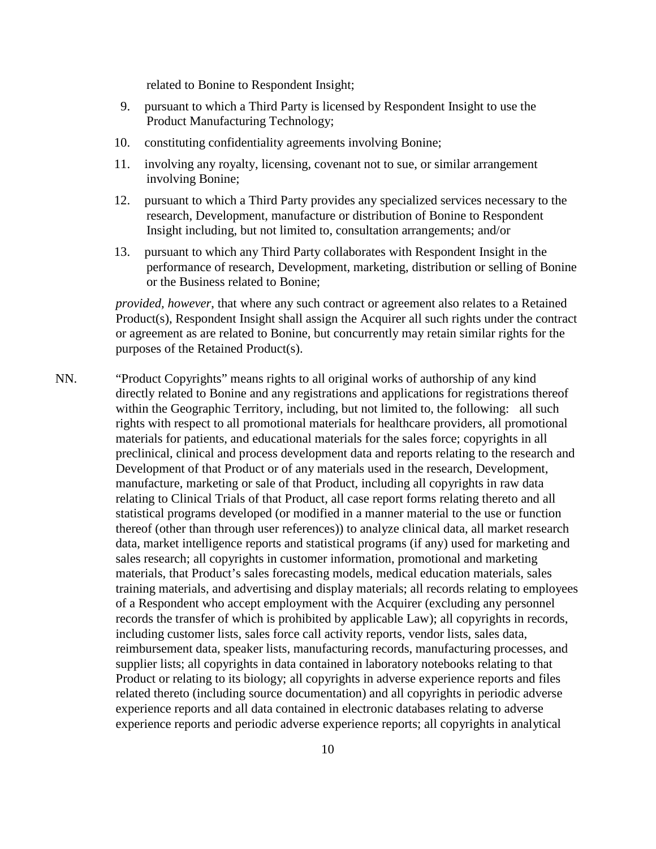related to Bonine to Respondent Insight;

- 9. pursuant to which a Third Party is licensed by Respondent Insight to use the Product Manufacturing Technology;
- 10. constituting confidentiality agreements involving Bonine;
- 11. involving any royalty, licensing, covenant not to sue, or similar arrangement involving Bonine;
- 12. pursuant to which a Third Party provides any specialized services necessary to the research, Development, manufacture or distribution of Bonine to Respondent Insight including, but not limited to, consultation arrangements; and/or
- 13. pursuant to which any Third Party collaborates with Respondent Insight in the performance of research, Development, marketing, distribution or selling of Bonine or the Business related to Bonine;

*provided, however*, that where any such contract or agreement also relates to a Retained Product(s), Respondent Insight shall assign the Acquirer all such rights under the contract or agreement as are related to Bonine, but concurrently may retain similar rights for the purposes of the Retained Product(s).

NN. "Product Copyrights" means rights to all original works of authorship of any kind directly related to Bonine and any registrations and applications for registrations thereof within the Geographic Territory, including, but not limited to, the following: all such rights with respect to all promotional materials for healthcare providers, all promotional materials for patients, and educational materials for the sales force; copyrights in all preclinical, clinical and process development data and reports relating to the research and Development of that Product or of any materials used in the research, Development, manufacture, marketing or sale of that Product, including all copyrights in raw data relating to Clinical Trials of that Product, all case report forms relating thereto and all statistical programs developed (or modified in a manner material to the use or function thereof (other than through user references)) to analyze clinical data, all market research data, market intelligence reports and statistical programs (if any) used for marketing and sales research; all copyrights in customer information, promotional and marketing materials, that Product's sales forecasting models, medical education materials, sales training materials, and advertising and display materials; all records relating to employees of a Respondent who accept employment with the Acquirer (excluding any personnel records the transfer of which is prohibited by applicable Law); all copyrights in records, including customer lists, sales force call activity reports, vendor lists, sales data, reimbursement data, speaker lists, manufacturing records, manufacturing processes, and supplier lists; all copyrights in data contained in laboratory notebooks relating to that Product or relating to its biology; all copyrights in adverse experience reports and files related thereto (including source documentation) and all copyrights in periodic adverse experience reports and all data contained in electronic databases relating to adverse experience reports and periodic adverse experience reports; all copyrights in analytical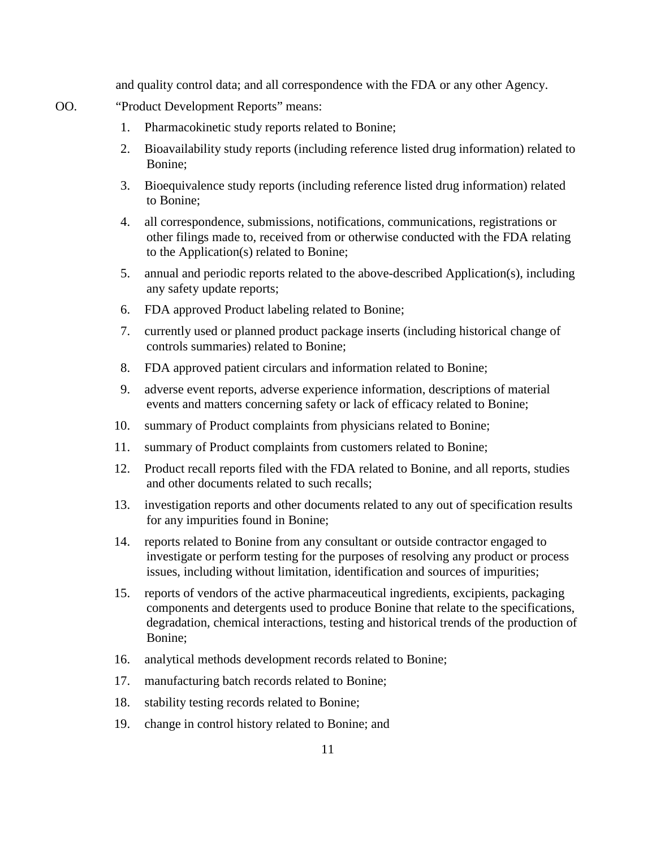and quality control data; and all correspondence with the FDA or any other Agency.

# OO. "Product Development Reports" means:

- 1. Pharmacokinetic study reports related to Bonine;
- 2. Bioavailability study reports (including reference listed drug information) related to Bonine;
- 3. Bioequivalence study reports (including reference listed drug information) related to Bonine;
- 4. all correspondence, submissions, notifications, communications, registrations or other filings made to, received from or otherwise conducted with the FDA relating to the Application(s) related to Bonine;
- 5. annual and periodic reports related to the above-described Application(s), including any safety update reports;
- 6. FDA approved Product labeling related to Bonine;
- 7. currently used or planned product package inserts (including historical change of controls summaries) related to Bonine;
- 8. FDA approved patient circulars and information related to Bonine;
- 9. adverse event reports, adverse experience information, descriptions of material events and matters concerning safety or lack of efficacy related to Bonine;
- 10. summary of Product complaints from physicians related to Bonine;
- 11. summary of Product complaints from customers related to Bonine;
- 12. Product recall reports filed with the FDA related to Bonine, and all reports, studies and other documents related to such recalls;
- 13. investigation reports and other documents related to any out of specification results for any impurities found in Bonine;
- 14. reports related to Bonine from any consultant or outside contractor engaged to investigate or perform testing for the purposes of resolving any product or process issues, including without limitation, identification and sources of impurities;
- 15. reports of vendors of the active pharmaceutical ingredients, excipients, packaging components and detergents used to produce Bonine that relate to the specifications, degradation, chemical interactions, testing and historical trends of the production of Bonine;
- 16. analytical methods development records related to Bonine;
- 17. manufacturing batch records related to Bonine;
- 18. stability testing records related to Bonine;
- 19. change in control history related to Bonine; and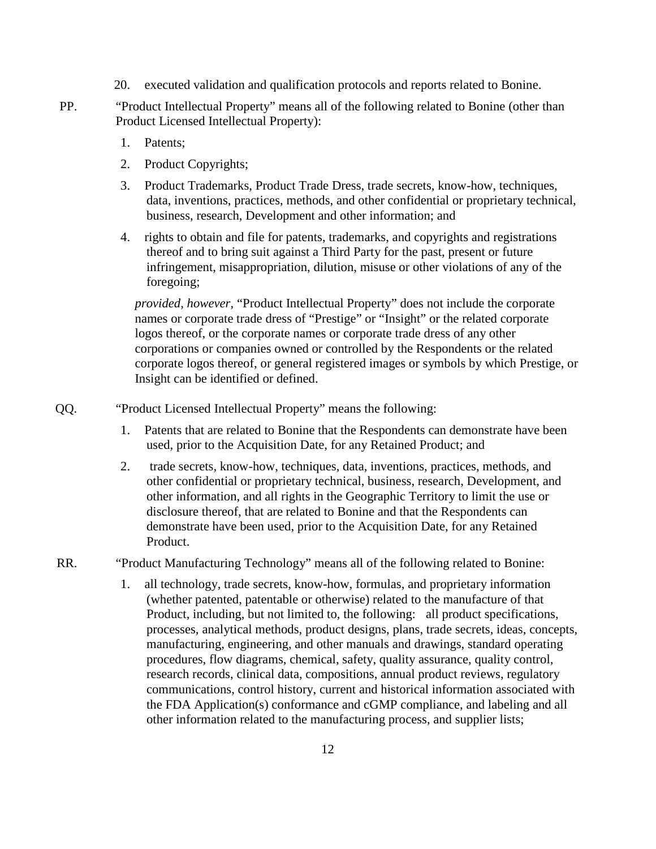20. executed validation and qualification protocols and reports related to Bonine.

PP. "Product Intellectual Property" means all of the following related to Bonine (other than Product Licensed Intellectual Property):

- 1. Patents;
- 2. Product Copyrights;
- 3. Product Trademarks, Product Trade Dress, trade secrets, know-how, techniques, data, inventions, practices, methods, and other confidential or proprietary technical, business, research, Development and other information; and
- 4. rights to obtain and file for patents, trademarks, and copyrights and registrations thereof and to bring suit against a Third Party for the past, present or future infringement, misappropriation, dilution, misuse or other violations of any of the foregoing;

*provided, however,* "Product Intellectual Property" does not include the corporate names or corporate trade dress of "Prestige" or "Insight" or the related corporate logos thereof, or the corporate names or corporate trade dress of any other corporations or companies owned or controlled by the Respondents or the related corporate logos thereof, or general registered images or symbols by which Prestige, or Insight can be identified or defined.

QQ. "Product Licensed Intellectual Property" means the following:

- 1. Patents that are related to Bonine that the Respondents can demonstrate have been used, prior to the Acquisition Date, for any Retained Product; and
- 2. trade secrets, know-how, techniques, data, inventions, practices, methods, and other confidential or proprietary technical, business, research, Development, and other information, and all rights in the Geographic Territory to limit the use or disclosure thereof, that are related to Bonine and that the Respondents can demonstrate have been used, prior to the Acquisition Date, for any Retained Product.

RR. "Product Manufacturing Technology" means all of the following related to Bonine:

1. all technology, trade secrets, know-how, formulas, and proprietary information (whether patented, patentable or otherwise) related to the manufacture of that Product, including, but not limited to, the following: all product specifications, processes, analytical methods, product designs, plans, trade secrets, ideas, concepts, manufacturing, engineering, and other manuals and drawings, standard operating procedures, flow diagrams, chemical, safety, quality assurance, quality control, research records, clinical data, compositions, annual product reviews, regulatory communications, control history, current and historical information associated with the FDA Application(s) conformance and cGMP compliance, and labeling and all other information related to the manufacturing process, and supplier lists;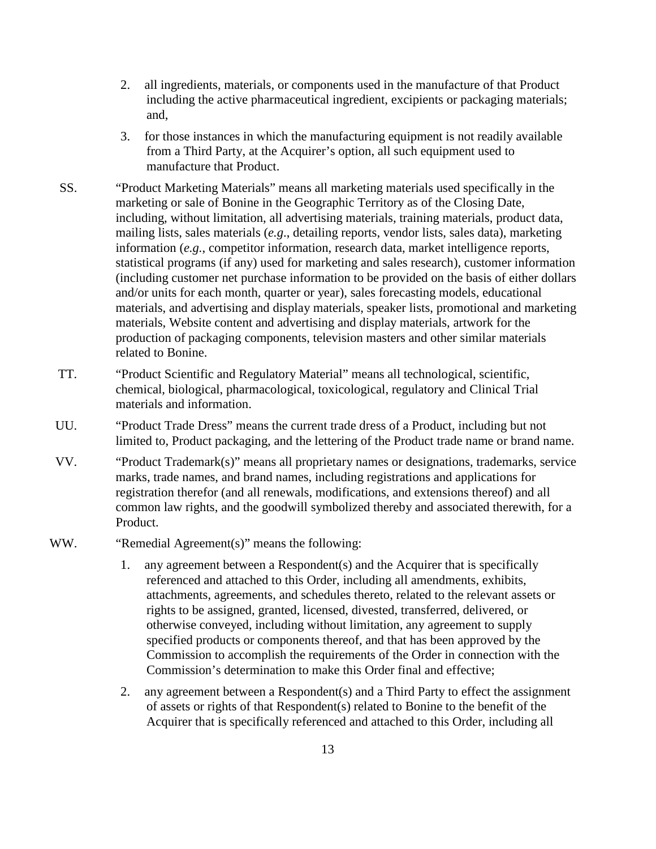- 2. all ingredients, materials, or components used in the manufacture of that Product including the active pharmaceutical ingredient, excipients or packaging materials; and,
- 3. for those instances in which the manufacturing equipment is not readily available from a Third Party, at the Acquirer's option, all such equipment used to manufacture that Product.
- SS. "Product Marketing Materials" means all marketing materials used specifically in the marketing or sale of Bonine in the Geographic Territory as of the Closing Date, including, without limitation, all advertising materials, training materials, product data, mailing lists, sales materials (*e.g*., detailing reports, vendor lists, sales data), marketing information (*e.g.*, competitor information, research data, market intelligence reports, statistical programs (if any) used for marketing and sales research), customer information (including customer net purchase information to be provided on the basis of either dollars and/or units for each month, quarter or year), sales forecasting models, educational materials, and advertising and display materials, speaker lists, promotional and marketing materials, Website content and advertising and display materials, artwork for the production of packaging components, television masters and other similar materials related to Bonine.
- TT. "Product Scientific and Regulatory Material" means all technological, scientific, chemical, biological, pharmacological, toxicological, regulatory and Clinical Trial materials and information.
- UU. "Product Trade Dress" means the current trade dress of a Product, including but not limited to, Product packaging, and the lettering of the Product trade name or brand name.
- VV. "Product Trademark(s)" means all proprietary names or designations, trademarks, service marks, trade names, and brand names, including registrations and applications for registration therefor (and all renewals, modifications, and extensions thereof) and all common law rights, and the goodwill symbolized thereby and associated therewith, for a Product.
- WW. "Remedial Agreement(s)" means the following:
	- 1. any agreement between a Respondent(s) and the Acquirer that is specifically referenced and attached to this Order, including all amendments, exhibits, attachments, agreements, and schedules thereto, related to the relevant assets or rights to be assigned, granted, licensed, divested, transferred, delivered, or otherwise conveyed, including without limitation, any agreement to supply specified products or components thereof, and that has been approved by the Commission to accomplish the requirements of the Order in connection with the Commission's determination to make this Order final and effective;
	- 2. any agreement between a Respondent(s) and a Third Party to effect the assignment of assets or rights of that Respondent(s) related to Bonine to the benefit of the Acquirer that is specifically referenced and attached to this Order, including all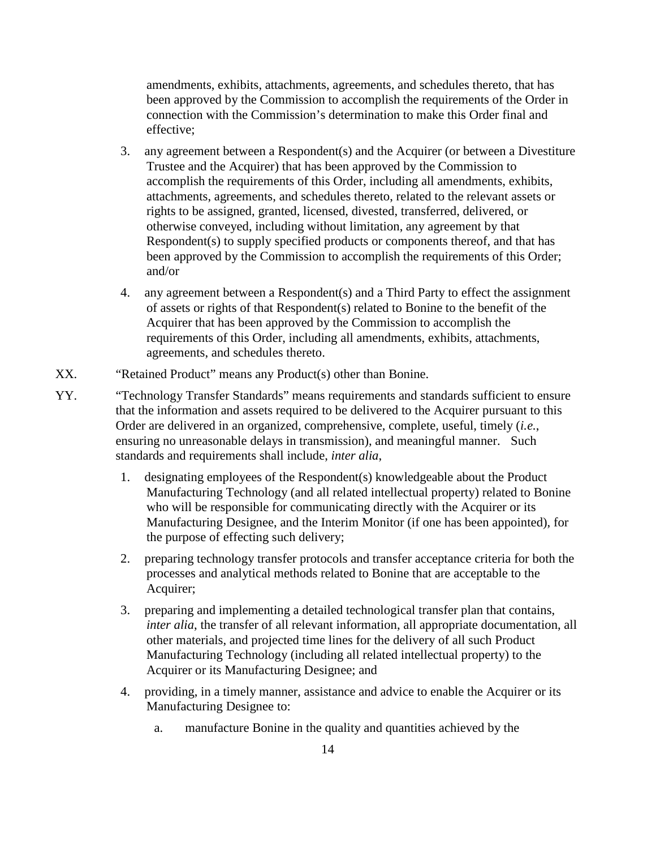amendments, exhibits, attachments, agreements, and schedules thereto, that has been approved by the Commission to accomplish the requirements of the Order in connection with the Commission's determination to make this Order final and effective;

- 3. any agreement between a Respondent(s) and the Acquirer (or between a Divestiture Trustee and the Acquirer) that has been approved by the Commission to accomplish the requirements of this Order, including all amendments, exhibits, attachments, agreements, and schedules thereto, related to the relevant assets or rights to be assigned, granted, licensed, divested, transferred, delivered, or otherwise conveyed, including without limitation, any agreement by that Respondent(s) to supply specified products or components thereof, and that has been approved by the Commission to accomplish the requirements of this Order; and/or
- 4. any agreement between a Respondent(s) and a Third Party to effect the assignment of assets or rights of that Respondent(s) related to Bonine to the benefit of the Acquirer that has been approved by the Commission to accomplish the requirements of this Order, including all amendments, exhibits, attachments, agreements, and schedules thereto.
- XX. "Retained Product" means any Product(s) other than Bonine.
- YY. "Technology Transfer Standards" means requirements and standards sufficient to ensure that the information and assets required to be delivered to the Acquirer pursuant to this Order are delivered in an organized, comprehensive, complete, useful, timely (*i.e.*, ensuring no unreasonable delays in transmission), and meaningful manner. Such standards and requirements shall include, *inter alia*,
	- 1. designating employees of the Respondent(s) knowledgeable about the Product Manufacturing Technology (and all related intellectual property) related to Bonine who will be responsible for communicating directly with the Acquirer or its Manufacturing Designee, and the Interim Monitor (if one has been appointed), for the purpose of effecting such delivery;
	- 2. preparing technology transfer protocols and transfer acceptance criteria for both the processes and analytical methods related to Bonine that are acceptable to the Acquirer;
	- 3. preparing and implementing a detailed technological transfer plan that contains, *inter alia*, the transfer of all relevant information, all appropriate documentation, all other materials, and projected time lines for the delivery of all such Product Manufacturing Technology (including all related intellectual property) to the Acquirer or its Manufacturing Designee; and
	- 4. providing, in a timely manner, assistance and advice to enable the Acquirer or its Manufacturing Designee to:
		- a. manufacture Bonine in the quality and quantities achieved by the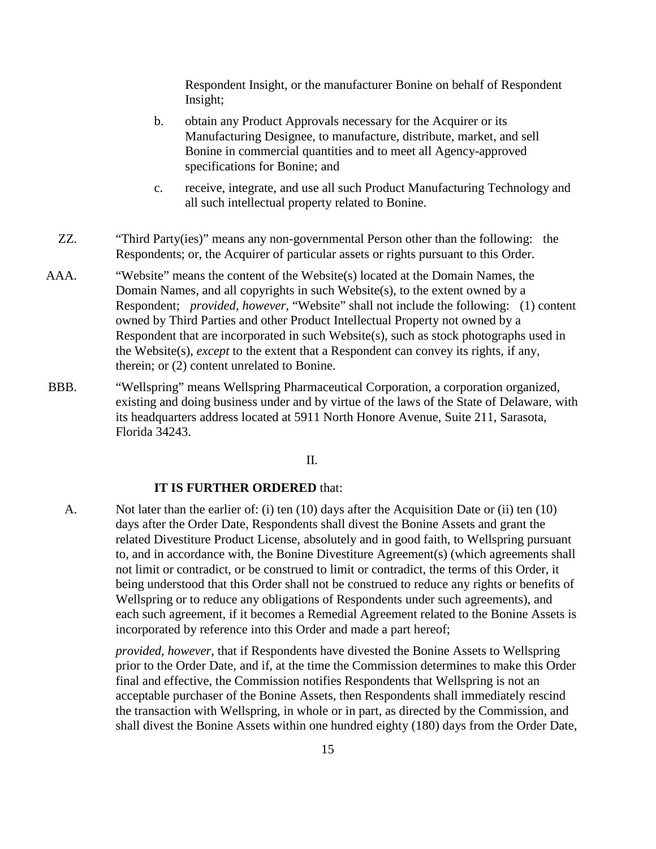Respondent Insight, or the manufacturer Bonine on behalf of Respondent Insight;

- b. obtain any Product Approvals necessary for the Acquirer or its Manufacturing Designee, to manufacture, distribute, market, and sell Bonine in commercial quantities and to meet all Agency-approved specifications for Bonine; and
- c. receive, integrate, and use all such Product Manufacturing Technology and all such intellectual property related to Bonine.
- ZZ. "Third Party(ies)" means any non-governmental Person other than the following: the Respondents; or, the Acquirer of particular assets or rights pursuant to this Order.
- AAA. "Website" means the content of the Website(s) located at the Domain Names, the Domain Names, and all copyrights in such Website(s), to the extent owned by a Respondent; *provided, however,* "Website" shall not include the following: (1) content owned by Third Parties and other Product Intellectual Property not owned by a Respondent that are incorporated in such Website(s), such as stock photographs used in the Website(s), *except* to the extent that a Respondent can convey its rights, if any, therein; or (2) content unrelated to Bonine.
- BBB. "Wellspring" means Wellspring Pharmaceutical Corporation, a corporation organized, existing and doing business under and by virtue of the laws of the State of Delaware, with its headquarters address located at 5911 North Honore Avenue, Suite 211, Sarasota, Florida 34243.

# II.

#### **IT IS FURTHER ORDERED** that:

A. Not later than the earlier of: (i) ten (10) days after the Acquisition Date or (ii) ten (10) days after the Order Date, Respondents shall divest the Bonine Assets and grant the related Divestiture Product License, absolutely and in good faith, to Wellspring pursuant to, and in accordance with, the Bonine Divestiture Agreement(s) (which agreements shall not limit or contradict, or be construed to limit or contradict, the terms of this Order, it being understood that this Order shall not be construed to reduce any rights or benefits of Wellspring or to reduce any obligations of Respondents under such agreements), and each such agreement, if it becomes a Remedial Agreement related to the Bonine Assets is incorporated by reference into this Order and made a part hereof;

*provided, however*, that if Respondents have divested the Bonine Assets to Wellspring prior to the Order Date, and if, at the time the Commission determines to make this Order final and effective, the Commission notifies Respondents that Wellspring is not an acceptable purchaser of the Bonine Assets, then Respondents shall immediately rescind the transaction with Wellspring, in whole or in part, as directed by the Commission, and shall divest the Bonine Assets within one hundred eighty (180) days from the Order Date,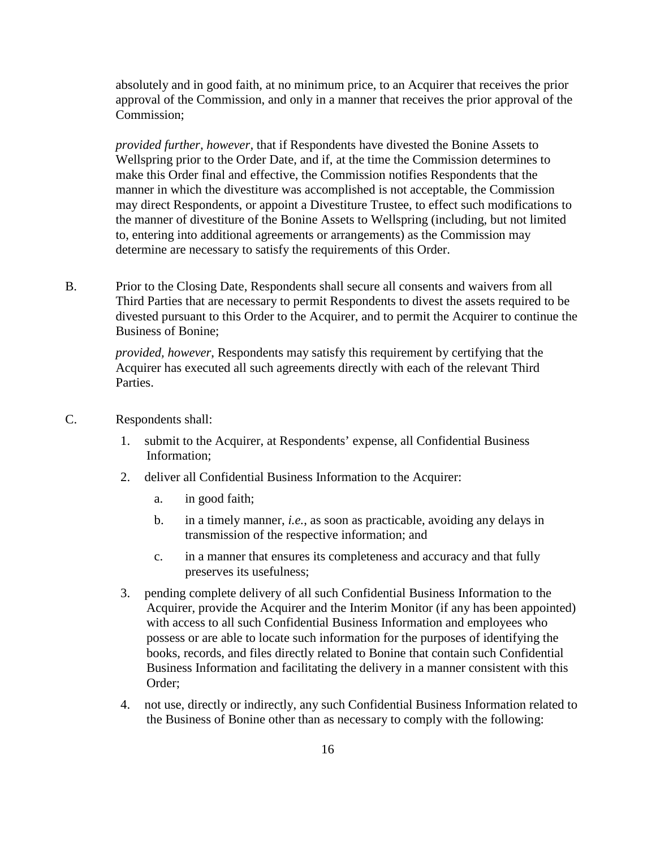absolutely and in good faith, at no minimum price, to an Acquirer that receives the prior approval of the Commission, and only in a manner that receives the prior approval of the Commission;

*provided further, however,* that if Respondents have divested the Bonine Assets to Wellspring prior to the Order Date, and if, at the time the Commission determines to make this Order final and effective, the Commission notifies Respondents that the manner in which the divestiture was accomplished is not acceptable, the Commission may direct Respondents, or appoint a Divestiture Trustee, to effect such modifications to the manner of divestiture of the Bonine Assets to Wellspring (including, but not limited to, entering into additional agreements or arrangements) as the Commission may determine are necessary to satisfy the requirements of this Order.

B. Prior to the Closing Date, Respondents shall secure all consents and waivers from all Third Parties that are necessary to permit Respondents to divest the assets required to be divested pursuant to this Order to the Acquirer, and to permit the Acquirer to continue the Business of Bonine;

*provided, however*, Respondents may satisfy this requirement by certifying that the Acquirer has executed all such agreements directly with each of the relevant Third Parties.

- C. Respondents shall:
	- 1. submit to the Acquirer, at Respondents' expense, all Confidential Business Information;
	- 2. deliver all Confidential Business Information to the Acquirer:
		- a. in good faith;
		- b. in a timely manner, *i.e.*, as soon as practicable, avoiding any delays in transmission of the respective information; and
		- c. in a manner that ensures its completeness and accuracy and that fully preserves its usefulness;
	- 3. pending complete delivery of all such Confidential Business Information to the Acquirer, provide the Acquirer and the Interim Monitor (if any has been appointed) with access to all such Confidential Business Information and employees who possess or are able to locate such information for the purposes of identifying the books, records, and files directly related to Bonine that contain such Confidential Business Information and facilitating the delivery in a manner consistent with this Order;
	- 4. not use, directly or indirectly, any such Confidential Business Information related to the Business of Bonine other than as necessary to comply with the following: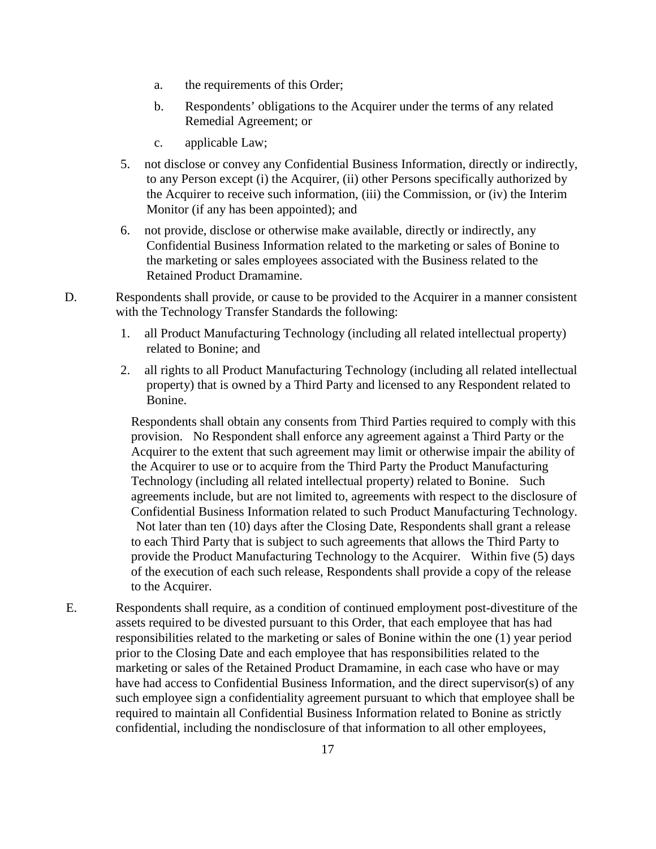- a. the requirements of this Order;
- b. Respondents' obligations to the Acquirer under the terms of any related Remedial Agreement; or
- c. applicable Law;
- 5. not disclose or convey any Confidential Business Information, directly or indirectly, to any Person except (i) the Acquirer, (ii) other Persons specifically authorized by the Acquirer to receive such information, (iii) the Commission, or (iv) the Interim Monitor (if any has been appointed); and
- 6. not provide, disclose or otherwise make available, directly or indirectly, any Confidential Business Information related to the marketing or sales of Bonine to the marketing or sales employees associated with the Business related to the Retained Product Dramamine.
- D. Respondents shall provide, or cause to be provided to the Acquirer in a manner consistent with the Technology Transfer Standards the following:
	- 1. all Product Manufacturing Technology (including all related intellectual property) related to Bonine; and
	- 2. all rights to all Product Manufacturing Technology (including all related intellectual property) that is owned by a Third Party and licensed to any Respondent related to Bonine.

Respondents shall obtain any consents from Third Parties required to comply with this provision. No Respondent shall enforce any agreement against a Third Party or the Acquirer to the extent that such agreement may limit or otherwise impair the ability of the Acquirer to use or to acquire from the Third Party the Product Manufacturing Technology (including all related intellectual property) related to Bonine. Such agreements include, but are not limited to, agreements with respect to the disclosure of Confidential Business Information related to such Product Manufacturing Technology. Not later than ten (10) days after the Closing Date, Respondents shall grant a release to each Third Party that is subject to such agreements that allows the Third Party to provide the Product Manufacturing Technology to the Acquirer. Within five (5) days of the execution of each such release, Respondents shall provide a copy of the release to the Acquirer.

E. Respondents shall require, as a condition of continued employment post-divestiture of the assets required to be divested pursuant to this Order, that each employee that has had responsibilities related to the marketing or sales of Bonine within the one (1) year period prior to the Closing Date and each employee that has responsibilities related to the marketing or sales of the Retained Product Dramamine, in each case who have or may have had access to Confidential Business Information, and the direct supervisor(s) of any such employee sign a confidentiality agreement pursuant to which that employee shall be required to maintain all Confidential Business Information related to Bonine as strictly confidential, including the nondisclosure of that information to all other employees,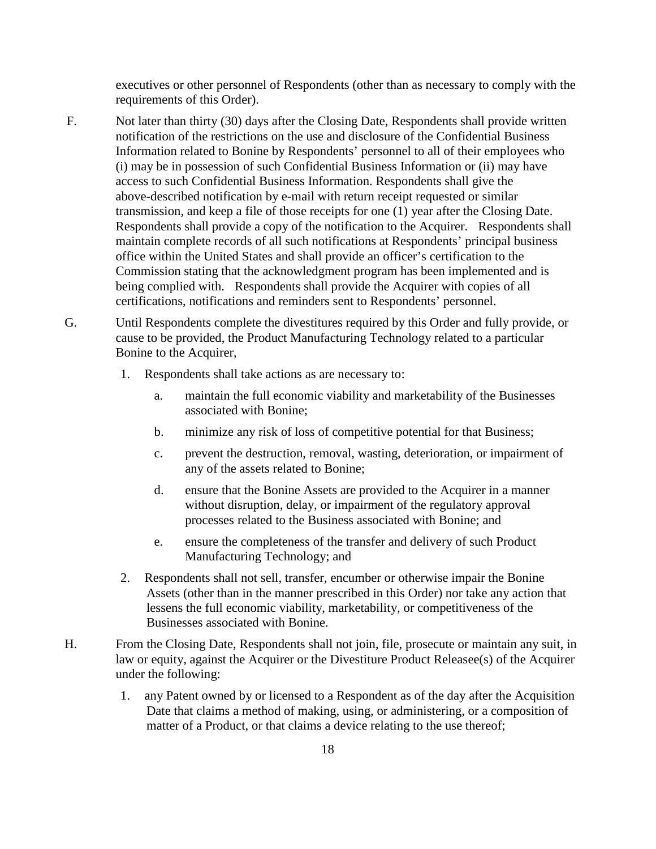executives or other personnel of Respondents (other than as necessary to comply with the requirements of this Order).

- F. Not later than thirty (30) days after the Closing Date, Respondents shall provide written notification of the restrictions on the use and disclosure of the Confidential Business Information related to Bonine by Respondents' personnel to all of their employees who (i) may be in possession of such Confidential Business Information or (ii) may have access to such Confidential Business Information. Respondents shall give the above-described notification by e-mail with return receipt requested or similar transmission, and keep a file of those receipts for one (1) year after the Closing Date. Respondents shall provide a copy of the notification to the Acquirer. Respondents shall maintain complete records of all such notifications at Respondents' principal business office within the United States and shall provide an officer's certification to the Commission stating that the acknowledgment program has been implemented and is being complied with. Respondents shall provide the Acquirer with copies of all certifications, notifications and reminders sent to Respondents' personnel.
- G. Until Respondents complete the divestitures required by this Order and fully provide, or cause to be provided, the Product Manufacturing Technology related to a particular Bonine to the Acquirer,
	- 1. Respondents shall take actions as are necessary to:
		- a. maintain the full economic viability and marketability of the Businesses associated with Bonine;
		- b. minimize any risk of loss of competitive potential for that Business;
		- c. prevent the destruction, removal, wasting, deterioration, or impairment of any of the assets related to Bonine;
		- d. ensure that the Bonine Assets are provided to the Acquirer in a manner without disruption, delay, or impairment of the regulatory approval processes related to the Business associated with Bonine; and
		- e. ensure the completeness of the transfer and delivery of such Product Manufacturing Technology; and
	- 2. Respondents shall not sell, transfer, encumber or otherwise impair the Bonine Assets (other than in the manner prescribed in this Order) nor take any action that lessens the full economic viability, marketability, or competitiveness of the Businesses associated with Bonine.
- H. From the Closing Date, Respondents shall not join, file, prosecute or maintain any suit, in law or equity, against the Acquirer or the Divestiture Product Releasee(s) of the Acquirer under the following:
	- 1. any Patent owned by or licensed to a Respondent as of the day after the Acquisition Date that claims a method of making, using, or administering, or a composition of matter of a Product, or that claims a device relating to the use thereof;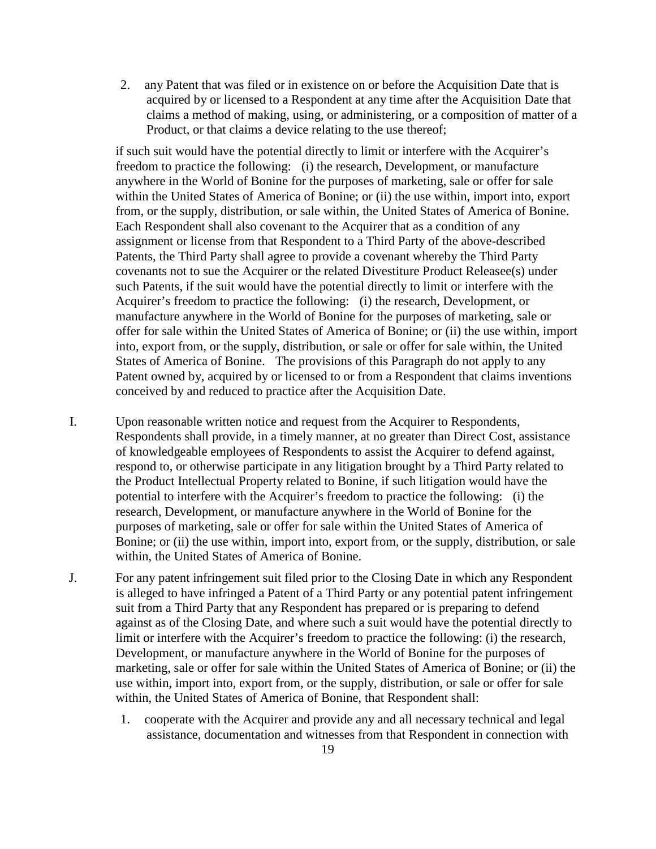2. any Patent that was filed or in existence on or before the Acquisition Date that is acquired by or licensed to a Respondent at any time after the Acquisition Date that claims a method of making, using, or administering, or a composition of matter of a Product, or that claims a device relating to the use thereof;

if such suit would have the potential directly to limit or interfere with the Acquirer's freedom to practice the following: (i) the research, Development, or manufacture anywhere in the World of Bonine for the purposes of marketing, sale or offer for sale within the United States of America of Bonine; or (ii) the use within, import into, export from, or the supply, distribution, or sale within, the United States of America of Bonine. Each Respondent shall also covenant to the Acquirer that as a condition of any assignment or license from that Respondent to a Third Party of the above-described Patents, the Third Party shall agree to provide a covenant whereby the Third Party covenants not to sue the Acquirer or the related Divestiture Product Releasee(s) under such Patents, if the suit would have the potential directly to limit or interfere with the Acquirer's freedom to practice the following: (i) the research, Development, or manufacture anywhere in the World of Bonine for the purposes of marketing, sale or offer for sale within the United States of America of Bonine; or (ii) the use within, import into, export from, or the supply, distribution, or sale or offer for sale within, the United States of America of Bonine. The provisions of this Paragraph do not apply to any Patent owned by, acquired by or licensed to or from a Respondent that claims inventions conceived by and reduced to practice after the Acquisition Date.

- I. Upon reasonable written notice and request from the Acquirer to Respondents, Respondents shall provide, in a timely manner, at no greater than Direct Cost, assistance of knowledgeable employees of Respondents to assist the Acquirer to defend against, respond to, or otherwise participate in any litigation brought by a Third Party related to the Product Intellectual Property related to Bonine, if such litigation would have the potential to interfere with the Acquirer's freedom to practice the following: (i) the research, Development, or manufacture anywhere in the World of Bonine for the purposes of marketing, sale or offer for sale within the United States of America of Bonine; or (ii) the use within, import into, export from, or the supply, distribution, or sale within, the United States of America of Bonine.
- J. For any patent infringement suit filed prior to the Closing Date in which any Respondent is alleged to have infringed a Patent of a Third Party or any potential patent infringement suit from a Third Party that any Respondent has prepared or is preparing to defend against as of the Closing Date, and where such a suit would have the potential directly to limit or interfere with the Acquirer's freedom to practice the following: (i) the research, Development, or manufacture anywhere in the World of Bonine for the purposes of marketing, sale or offer for sale within the United States of America of Bonine; or (ii) the use within, import into, export from, or the supply, distribution, or sale or offer for sale within, the United States of America of Bonine, that Respondent shall:
	- 1. cooperate with the Acquirer and provide any and all necessary technical and legal assistance, documentation and witnesses from that Respondent in connection with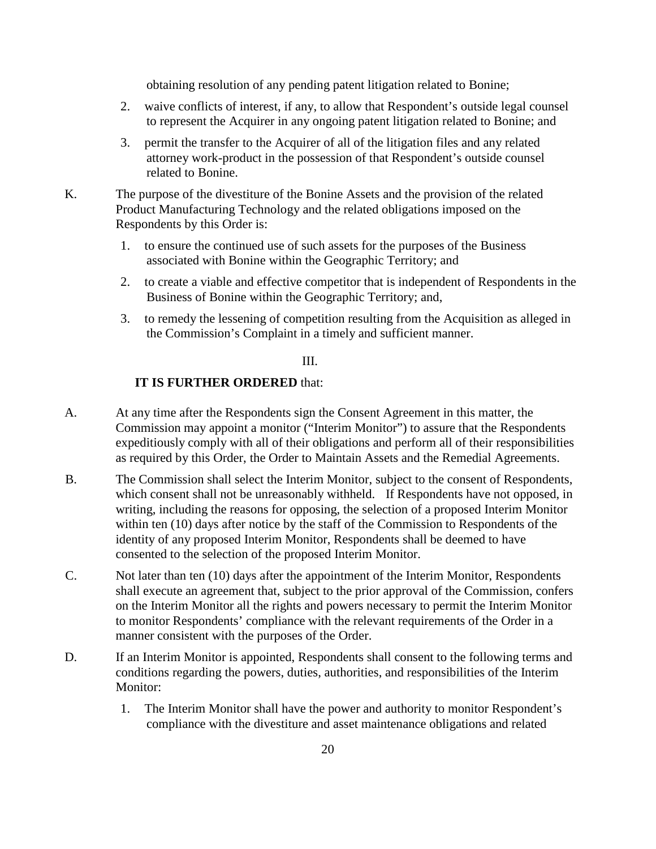obtaining resolution of any pending patent litigation related to Bonine;

- 2. waive conflicts of interest, if any, to allow that Respondent's outside legal counsel to represent the Acquirer in any ongoing patent litigation related to Bonine; and
- 3. permit the transfer to the Acquirer of all of the litigation files and any related attorney work-product in the possession of that Respondent's outside counsel related to Bonine.
- K. The purpose of the divestiture of the Bonine Assets and the provision of the related Product Manufacturing Technology and the related obligations imposed on the Respondents by this Order is:
	- 1. to ensure the continued use of such assets for the purposes of the Business associated with Bonine within the Geographic Territory; and
	- 2. to create a viable and effective competitor that is independent of Respondents in the Business of Bonine within the Geographic Territory; and,
	- 3. to remedy the lessening of competition resulting from the Acquisition as alleged in the Commission's Complaint in a timely and sufficient manner.

## III.

## **IT IS FURTHER ORDERED** that:

- A. At any time after the Respondents sign the Consent Agreement in this matter, the Commission may appoint a monitor ("Interim Monitor") to assure that the Respondents expeditiously comply with all of their obligations and perform all of their responsibilities as required by this Order, the Order to Maintain Assets and the Remedial Agreements.
- B. The Commission shall select the Interim Monitor, subject to the consent of Respondents, which consent shall not be unreasonably withheld. If Respondents have not opposed, in writing, including the reasons for opposing, the selection of a proposed Interim Monitor within ten (10) days after notice by the staff of the Commission to Respondents of the identity of any proposed Interim Monitor, Respondents shall be deemed to have consented to the selection of the proposed Interim Monitor.
- C. Not later than ten (10) days after the appointment of the Interim Monitor, Respondents shall execute an agreement that, subject to the prior approval of the Commission, confers on the Interim Monitor all the rights and powers necessary to permit the Interim Monitor to monitor Respondents' compliance with the relevant requirements of the Order in a manner consistent with the purposes of the Order.
- D. If an Interim Monitor is appointed, Respondents shall consent to the following terms and conditions regarding the powers, duties, authorities, and responsibilities of the Interim Monitor:
	- 1. The Interim Monitor shall have the power and authority to monitor Respondent's compliance with the divestiture and asset maintenance obligations and related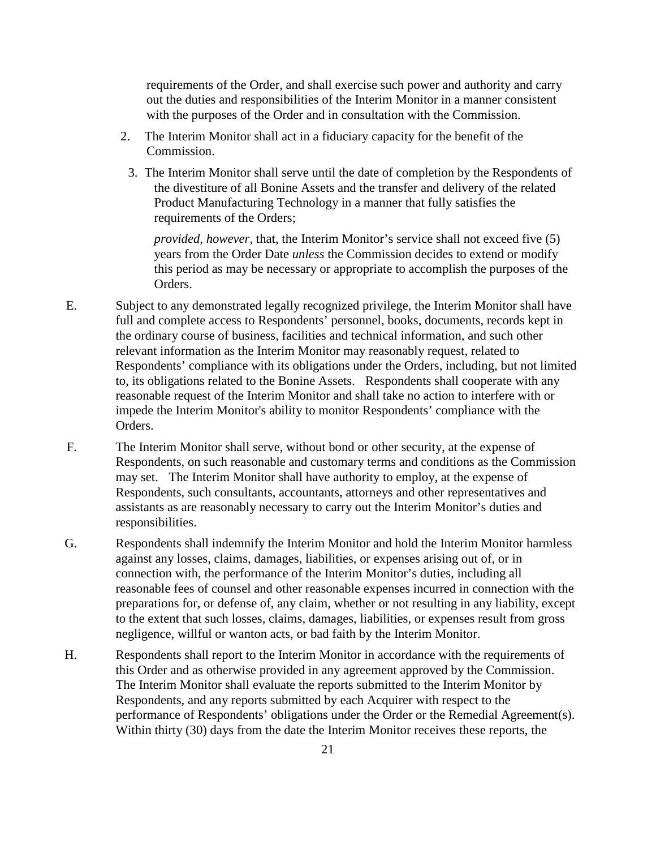requirements of the Order, and shall exercise such power and authority and carry out the duties and responsibilities of the Interim Monitor in a manner consistent with the purposes of the Order and in consultation with the Commission.

- 2. The Interim Monitor shall act in a fiduciary capacity for the benefit of the Commission.
	- 3. The Interim Monitor shall serve until the date of completion by the Respondents of the divestiture of all Bonine Assets and the transfer and delivery of the related Product Manufacturing Technology in a manner that fully satisfies the requirements of the Orders;

*provided, however,* that, the Interim Monitor's service shall not exceed five (5) years from the Order Date *unless* the Commission decides to extend or modify this period as may be necessary or appropriate to accomplish the purposes of the Orders.

- E. Subject to any demonstrated legally recognized privilege, the Interim Monitor shall have full and complete access to Respondents' personnel, books, documents, records kept in the ordinary course of business, facilities and technical information, and such other relevant information as the Interim Monitor may reasonably request, related to Respondents' compliance with its obligations under the Orders, including, but not limited to, its obligations related to the Bonine Assets. Respondents shall cooperate with any reasonable request of the Interim Monitor and shall take no action to interfere with or impede the Interim Monitor's ability to monitor Respondents' compliance with the Orders.
- F. The Interim Monitor shall serve, without bond or other security, at the expense of Respondents, on such reasonable and customary terms and conditions as the Commission may set. The Interim Monitor shall have authority to employ, at the expense of Respondents, such consultants, accountants, attorneys and other representatives and assistants as are reasonably necessary to carry out the Interim Monitor's duties and responsibilities.
- G. Respondents shall indemnify the Interim Monitor and hold the Interim Monitor harmless against any losses, claims, damages, liabilities, or expenses arising out of, or in connection with, the performance of the Interim Monitor's duties, including all reasonable fees of counsel and other reasonable expenses incurred in connection with the preparations for, or defense of, any claim, whether or not resulting in any liability, except to the extent that such losses, claims, damages, liabilities, or expenses result from gross negligence, willful or wanton acts, or bad faith by the Interim Monitor.
- H. Respondents shall report to the Interim Monitor in accordance with the requirements of this Order and as otherwise provided in any agreement approved by the Commission. The Interim Monitor shall evaluate the reports submitted to the Interim Monitor by Respondents, and any reports submitted by each Acquirer with respect to the performance of Respondents' obligations under the Order or the Remedial Agreement(s). Within thirty (30) days from the date the Interim Monitor receives these reports, the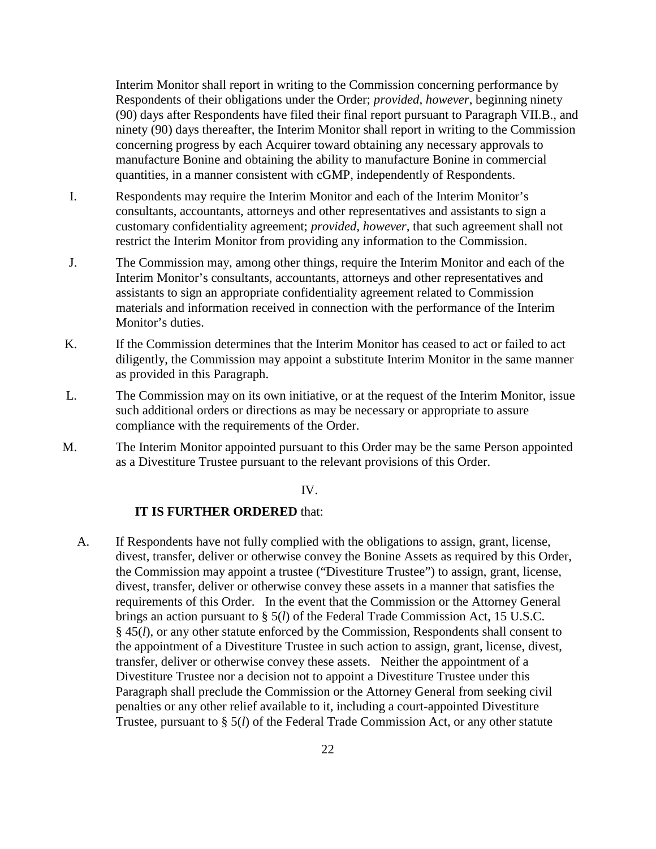Interim Monitor shall report in writing to the Commission concerning performance by Respondents of their obligations under the Order; *provided, however*, beginning ninety (90) days after Respondents have filed their final report pursuant to Paragraph VII.B., and ninety (90) days thereafter, the Interim Monitor shall report in writing to the Commission concerning progress by each Acquirer toward obtaining any necessary approvals to manufacture Bonine and obtaining the ability to manufacture Bonine in commercial quantities, in a manner consistent with cGMP, independently of Respondents.

- I. Respondents may require the Interim Monitor and each of the Interim Monitor's consultants, accountants, attorneys and other representatives and assistants to sign a customary confidentiality agreement; *provided, however,* that such agreement shall not restrict the Interim Monitor from providing any information to the Commission.
- J. The Commission may, among other things, require the Interim Monitor and each of the Interim Monitor's consultants, accountants, attorneys and other representatives and assistants to sign an appropriate confidentiality agreement related to Commission materials and information received in connection with the performance of the Interim Monitor's duties.
- K. If the Commission determines that the Interim Monitor has ceased to act or failed to act diligently, the Commission may appoint a substitute Interim Monitor in the same manner as provided in this Paragraph.
- L. The Commission may on its own initiative, or at the request of the Interim Monitor, issue such additional orders or directions as may be necessary or appropriate to assure compliance with the requirements of the Order.
- M. The Interim Monitor appointed pursuant to this Order may be the same Person appointed as a Divestiture Trustee pursuant to the relevant provisions of this Order.

IV.

## **IT IS FURTHER ORDERED** that:

A. If Respondents have not fully complied with the obligations to assign, grant, license, divest, transfer, deliver or otherwise convey the Bonine Assets as required by this Order, the Commission may appoint a trustee ("Divestiture Trustee") to assign, grant, license, divest, transfer, deliver or otherwise convey these assets in a manner that satisfies the requirements of this Order. In the event that the Commission or the Attorney General brings an action pursuant to § 5(*l*) of the Federal Trade Commission Act, 15 U.S.C. § 45(*l*), or any other statute enforced by the Commission, Respondents shall consent to the appointment of a Divestiture Trustee in such action to assign, grant, license, divest, transfer, deliver or otherwise convey these assets. Neither the appointment of a Divestiture Trustee nor a decision not to appoint a Divestiture Trustee under this Paragraph shall preclude the Commission or the Attorney General from seeking civil penalties or any other relief available to it, including a court-appointed Divestiture Trustee, pursuant to § 5(*l*) of the Federal Trade Commission Act, or any other statute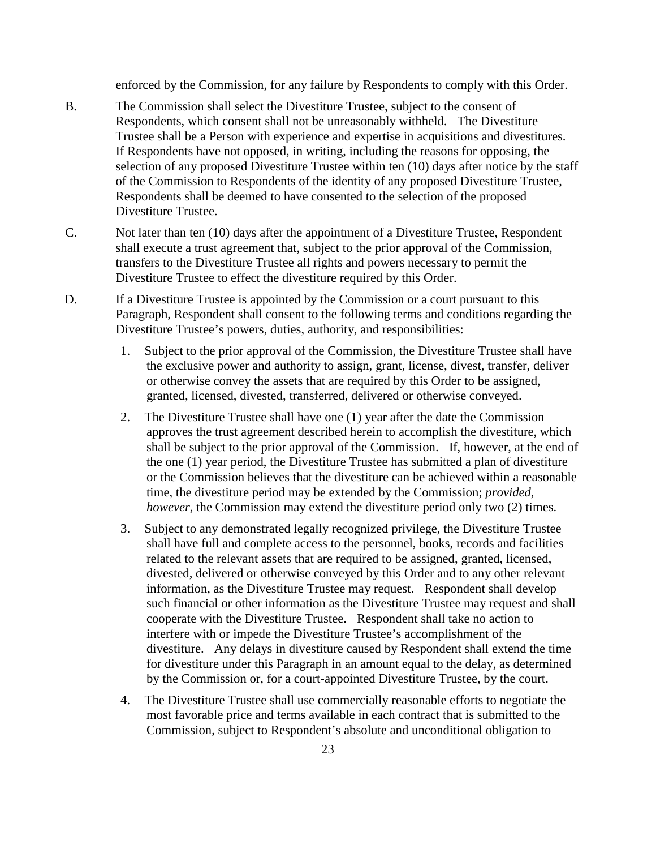enforced by the Commission, for any failure by Respondents to comply with this Order.

- B. The Commission shall select the Divestiture Trustee, subject to the consent of Respondents, which consent shall not be unreasonably withheld. The Divestiture Trustee shall be a Person with experience and expertise in acquisitions and divestitures. If Respondents have not opposed, in writing, including the reasons for opposing, the selection of any proposed Divestiture Trustee within ten (10) days after notice by the staff of the Commission to Respondents of the identity of any proposed Divestiture Trustee, Respondents shall be deemed to have consented to the selection of the proposed Divestiture Trustee.
- C. Not later than ten (10) days after the appointment of a Divestiture Trustee, Respondent shall execute a trust agreement that, subject to the prior approval of the Commission, transfers to the Divestiture Trustee all rights and powers necessary to permit the Divestiture Trustee to effect the divestiture required by this Order.
- D. If a Divestiture Trustee is appointed by the Commission or a court pursuant to this Paragraph, Respondent shall consent to the following terms and conditions regarding the Divestiture Trustee's powers, duties, authority, and responsibilities:
	- 1. Subject to the prior approval of the Commission, the Divestiture Trustee shall have the exclusive power and authority to assign, grant, license, divest, transfer, deliver or otherwise convey the assets that are required by this Order to be assigned, granted, licensed, divested, transferred, delivered or otherwise conveyed.
	- 2. The Divestiture Trustee shall have one (1) year after the date the Commission approves the trust agreement described herein to accomplish the divestiture, which shall be subject to the prior approval of the Commission. If, however, at the end of the one (1) year period, the Divestiture Trustee has submitted a plan of divestiture or the Commission believes that the divestiture can be achieved within a reasonable time, the divestiture period may be extended by the Commission; *provided, however*, the Commission may extend the divestiture period only two (2) times.
	- 3. Subject to any demonstrated legally recognized privilege, the Divestiture Trustee shall have full and complete access to the personnel, books, records and facilities related to the relevant assets that are required to be assigned, granted, licensed, divested, delivered or otherwise conveyed by this Order and to any other relevant information, as the Divestiture Trustee may request. Respondent shall develop such financial or other information as the Divestiture Trustee may request and shall cooperate with the Divestiture Trustee. Respondent shall take no action to interfere with or impede the Divestiture Trustee's accomplishment of the divestiture. Any delays in divestiture caused by Respondent shall extend the time for divestiture under this Paragraph in an amount equal to the delay, as determined by the Commission or, for a court-appointed Divestiture Trustee, by the court.
	- 4. The Divestiture Trustee shall use commercially reasonable efforts to negotiate the most favorable price and terms available in each contract that is submitted to the Commission, subject to Respondent's absolute and unconditional obligation to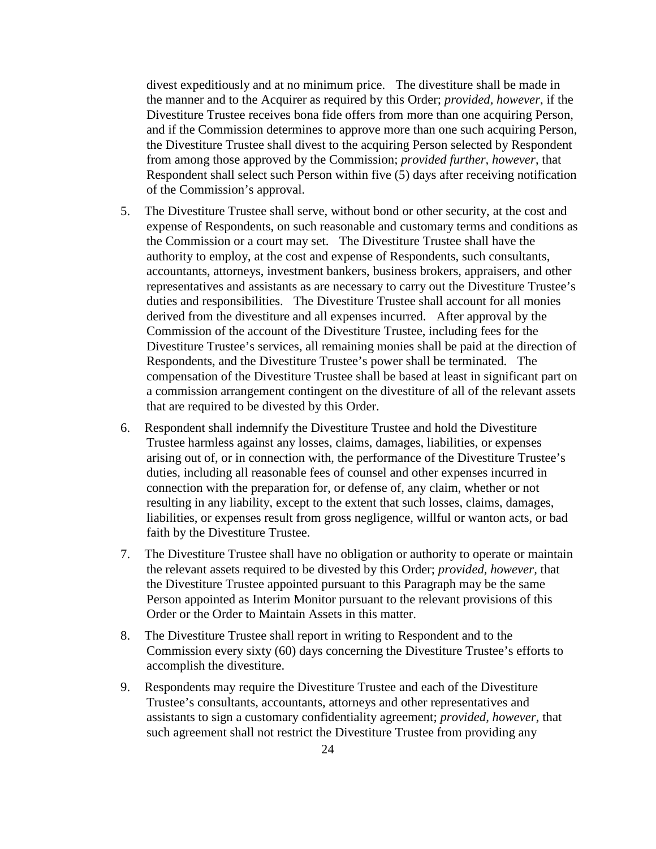divest expeditiously and at no minimum price. The divestiture shall be made in the manner and to the Acquirer as required by this Order; *provided, however*, if the Divestiture Trustee receives bona fide offers from more than one acquiring Person, and if the Commission determines to approve more than one such acquiring Person, the Divestiture Trustee shall divest to the acquiring Person selected by Respondent from among those approved by the Commission; *provided further, however*, that Respondent shall select such Person within five (5) days after receiving notification of the Commission's approval.

- 5. The Divestiture Trustee shall serve, without bond or other security, at the cost and expense of Respondents, on such reasonable and customary terms and conditions as the Commission or a court may set. The Divestiture Trustee shall have the authority to employ, at the cost and expense of Respondents, such consultants, accountants, attorneys, investment bankers, business brokers, appraisers, and other representatives and assistants as are necessary to carry out the Divestiture Trustee's duties and responsibilities. The Divestiture Trustee shall account for all monies derived from the divestiture and all expenses incurred. After approval by the Commission of the account of the Divestiture Trustee, including fees for the Divestiture Trustee's services, all remaining monies shall be paid at the direction of Respondents, and the Divestiture Trustee's power shall be terminated. The compensation of the Divestiture Trustee shall be based at least in significant part on a commission arrangement contingent on the divestiture of all of the relevant assets that are required to be divested by this Order.
- 6. Respondent shall indemnify the Divestiture Trustee and hold the Divestiture Trustee harmless against any losses, claims, damages, liabilities, or expenses arising out of, or in connection with, the performance of the Divestiture Trustee's duties, including all reasonable fees of counsel and other expenses incurred in connection with the preparation for, or defense of, any claim, whether or not resulting in any liability, except to the extent that such losses, claims, damages, liabilities, or expenses result from gross negligence, willful or wanton acts, or bad faith by the Divestiture Trustee.
- 7. The Divestiture Trustee shall have no obligation or authority to operate or maintain the relevant assets required to be divested by this Order; *provided, however,* that the Divestiture Trustee appointed pursuant to this Paragraph may be the same Person appointed as Interim Monitor pursuant to the relevant provisions of this Order or the Order to Maintain Assets in this matter.
- 8. The Divestiture Trustee shall report in writing to Respondent and to the Commission every sixty (60) days concerning the Divestiture Trustee's efforts to accomplish the divestiture.
- 9. Respondents may require the Divestiture Trustee and each of the Divestiture Trustee's consultants, accountants, attorneys and other representatives and assistants to sign a customary confidentiality agreement; *provided, however,* that such agreement shall not restrict the Divestiture Trustee from providing any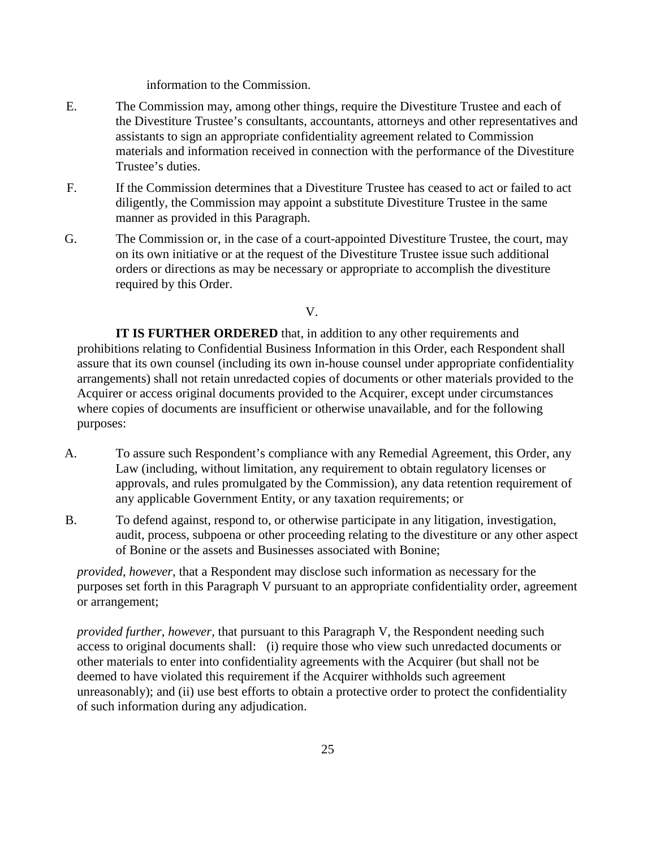information to the Commission.

- E. The Commission may, among other things, require the Divestiture Trustee and each of the Divestiture Trustee's consultants, accountants, attorneys and other representatives and assistants to sign an appropriate confidentiality agreement related to Commission materials and information received in connection with the performance of the Divestiture Trustee's duties.
- F. If the Commission determines that a Divestiture Trustee has ceased to act or failed to act diligently, the Commission may appoint a substitute Divestiture Trustee in the same manner as provided in this Paragraph.
- G. The Commission or, in the case of a court-appointed Divestiture Trustee, the court, may on its own initiative or at the request of the Divestiture Trustee issue such additional orders or directions as may be necessary or appropriate to accomplish the divestiture required by this Order.

#### V.

**IT IS FURTHER ORDERED** that, in addition to any other requirements and prohibitions relating to Confidential Business Information in this Order, each Respondent shall assure that its own counsel (including its own in-house counsel under appropriate confidentiality arrangements) shall not retain unredacted copies of documents or other materials provided to the Acquirer or access original documents provided to the Acquirer, except under circumstances where copies of documents are insufficient or otherwise unavailable, and for the following purposes:

- A. To assure such Respondent's compliance with any Remedial Agreement, this Order, any Law (including, without limitation, any requirement to obtain regulatory licenses or approvals, and rules promulgated by the Commission), any data retention requirement of any applicable Government Entity, or any taxation requirements; or
- B. To defend against, respond to, or otherwise participate in any litigation, investigation, audit, process, subpoena or other proceeding relating to the divestiture or any other aspect of Bonine or the assets and Businesses associated with Bonine;

*provided*, *however*, that a Respondent may disclose such information as necessary for the purposes set forth in this Paragraph V pursuant to an appropriate confidentiality order, agreement or arrangement;

*provided further*, *however,* that pursuant to this Paragraph V, the Respondent needing such access to original documents shall: (i) require those who view such unredacted documents or other materials to enter into confidentiality agreements with the Acquirer (but shall not be deemed to have violated this requirement if the Acquirer withholds such agreement unreasonably); and (ii) use best efforts to obtain a protective order to protect the confidentiality of such information during any adjudication.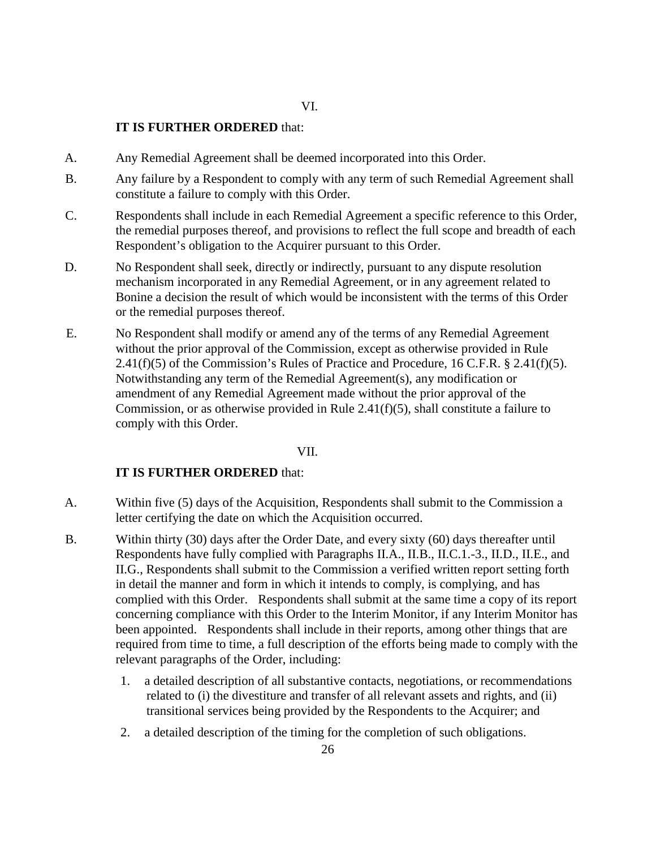# **IT IS FURTHER ORDERED** that:

- A. Any Remedial Agreement shall be deemed incorporated into this Order.
- B. Any failure by a Respondent to comply with any term of such Remedial Agreement shall constitute a failure to comply with this Order.
- C. Respondents shall include in each Remedial Agreement a specific reference to this Order, the remedial purposes thereof, and provisions to reflect the full scope and breadth of each Respondent's obligation to the Acquirer pursuant to this Order.
- D. No Respondent shall seek, directly or indirectly, pursuant to any dispute resolution mechanism incorporated in any Remedial Agreement, or in any agreement related to Bonine a decision the result of which would be inconsistent with the terms of this Order or the remedial purposes thereof.
- E. No Respondent shall modify or amend any of the terms of any Remedial Agreement without the prior approval of the Commission, except as otherwise provided in Rule  $2.41(f)(5)$  of the Commission's Rules of Practice and Procedure, 16 C.F.R. § 2.41(f)(5). Notwithstanding any term of the Remedial Agreement(s), any modification or amendment of any Remedial Agreement made without the prior approval of the Commission, or as otherwise provided in Rule 2.41(f)(5), shall constitute a failure to comply with this Order.

## VII.

# **IT IS FURTHER ORDERED** that:

- A. Within five (5) days of the Acquisition, Respondents shall submit to the Commission a letter certifying the date on which the Acquisition occurred.
- B. Within thirty (30) days after the Order Date, and every sixty (60) days thereafter until Respondents have fully complied with Paragraphs II.A., II.B., II.C.1.-3., II.D., II.E., and II.G., Respondents shall submit to the Commission a verified written report setting forth in detail the manner and form in which it intends to comply, is complying, and has complied with this Order. Respondents shall submit at the same time a copy of its report concerning compliance with this Order to the Interim Monitor, if any Interim Monitor has been appointed. Respondents shall include in their reports, among other things that are required from time to time, a full description of the efforts being made to comply with the relevant paragraphs of the Order, including:
	- 1. a detailed description of all substantive contacts, negotiations, or recommendations related to (i) the divestiture and transfer of all relevant assets and rights, and (ii) transitional services being provided by the Respondents to the Acquirer; and
	- 2. a detailed description of the timing for the completion of such obligations.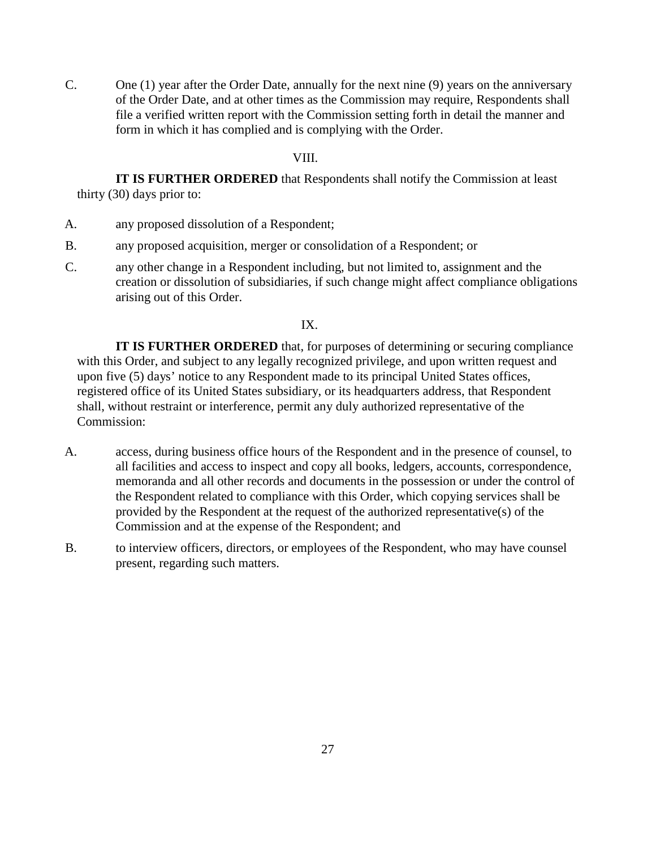C. One (1) year after the Order Date, annually for the next nine (9) years on the anniversary of the Order Date, and at other times as the Commission may require, Respondents shall file a verified written report with the Commission setting forth in detail the manner and form in which it has complied and is complying with the Order.

#### VIII.

**IT IS FURTHER ORDERED** that Respondents shall notify the Commission at least thirty (30) days prior to:

- A. any proposed dissolution of a Respondent;
- B. any proposed acquisition, merger or consolidation of a Respondent; or
- C. any other change in a Respondent including, but not limited to, assignment and the creation or dissolution of subsidiaries, if such change might affect compliance obligations arising out of this Order.

# IX.

**IT IS FURTHER ORDERED** that, for purposes of determining or securing compliance with this Order, and subject to any legally recognized privilege, and upon written request and upon five (5) days' notice to any Respondent made to its principal United States offices, registered office of its United States subsidiary, or its headquarters address, that Respondent shall, without restraint or interference, permit any duly authorized representative of the Commission:

- A. access, during business office hours of the Respondent and in the presence of counsel, to all facilities and access to inspect and copy all books, ledgers, accounts, correspondence, memoranda and all other records and documents in the possession or under the control of the Respondent related to compliance with this Order, which copying services shall be provided by the Respondent at the request of the authorized representative(s) of the Commission and at the expense of the Respondent; and
- B. to interview officers, directors, or employees of the Respondent, who may have counsel present, regarding such matters.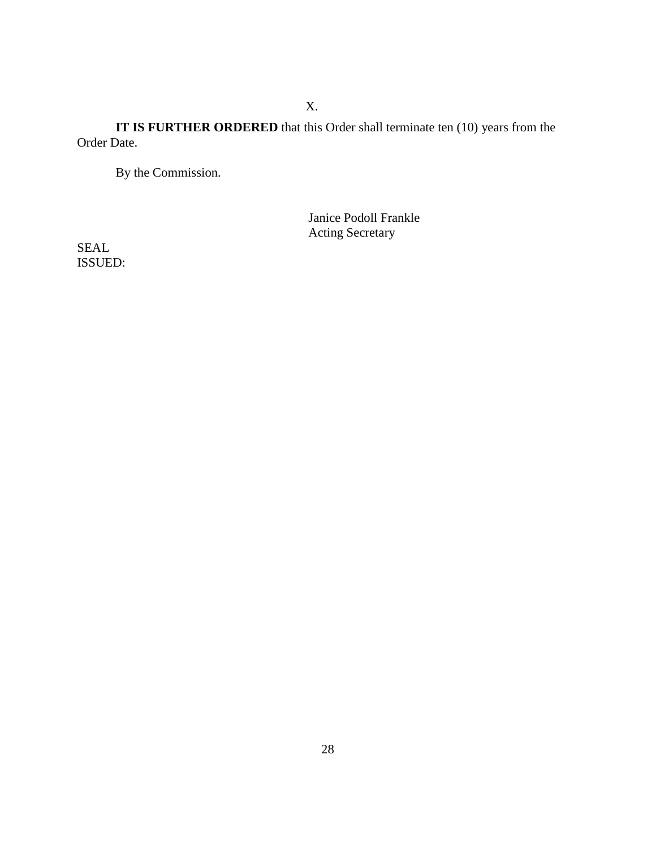X.

**IT IS FURTHER ORDERED** that this Order shall terminate ten (10) years from the Order Date.

By the Commission.

Janice Podoll Frankle Acting Secretary

SEAL ISSUED: